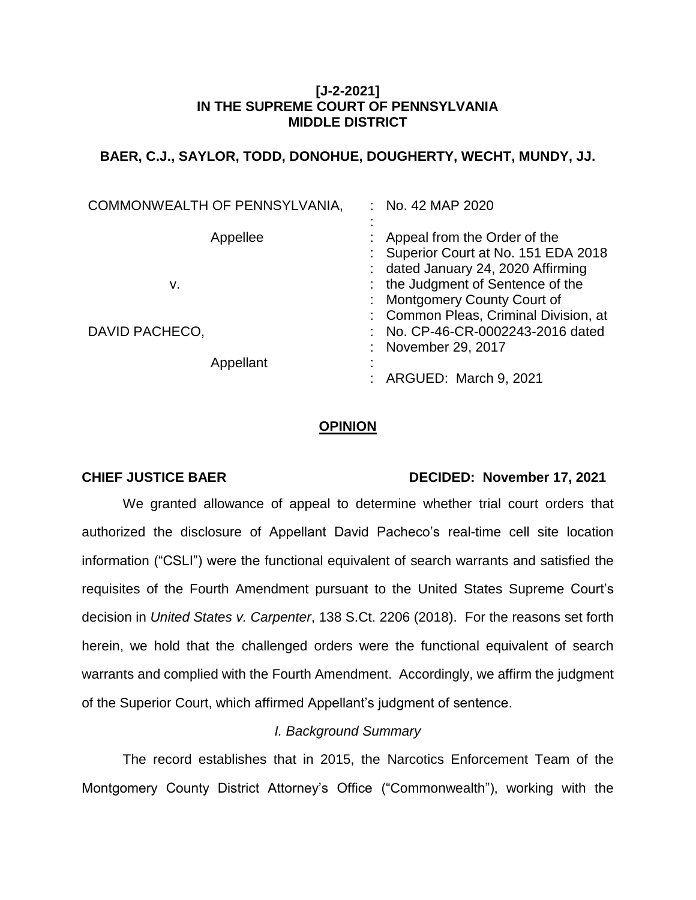### **[J-2-2021] IN THE SUPREME COURT OF PENNSYLVANIA MIDDLE DISTRICT**

# **BAER, C.J., SAYLOR, TODD, DONOHUE, DOUGHERTY, WECHT, MUNDY, JJ.**

| COMMONWEALTH OF PENNSYLVANIA, | No. 42 MAP 2020                                                                                                                                                               |
|-------------------------------|-------------------------------------------------------------------------------------------------------------------------------------------------------------------------------|
| Appellee<br>v.                | Appeal from the Order of the<br>Superior Court at No. 151 EDA 2018<br>: dated January 24, 2020 Affirming<br>: the Judgment of Sentence of the<br>: Montgomery County Court of |
| DAVID PACHECO,<br>Appellant   | : Common Pleas, Criminal Division, at<br>No. CP-46-CR-0002243-2016 dated<br>November 29, 2017                                                                                 |
|                               | ARGUED: March 9, 2021                                                                                                                                                         |

#### **OPINION**

#### **CHIEF JUSTICE BAER DECIDED: November 17, 2021**

We granted allowance of appeal to determine whether trial court orders that authorized the disclosure of Appellant David Pacheco's real-time cell site location information ("CSLI") were the functional equivalent of search warrants and satisfied the requisites of the Fourth Amendment pursuant to the United States Supreme Court's decision in *United States v. Carpenter*, 138 S.Ct. 2206 (2018). For the reasons set forth herein, we hold that the challenged orders were the functional equivalent of search warrants and complied with the Fourth Amendment. Accordingly, we affirm the judgment of the Superior Court, which affirmed Appellant's judgment of sentence.

## *I. Background Summary*

The record establishes that in 2015, the Narcotics Enforcement Team of the Montgomery County District Attorney's Office ("Commonwealth"), working with the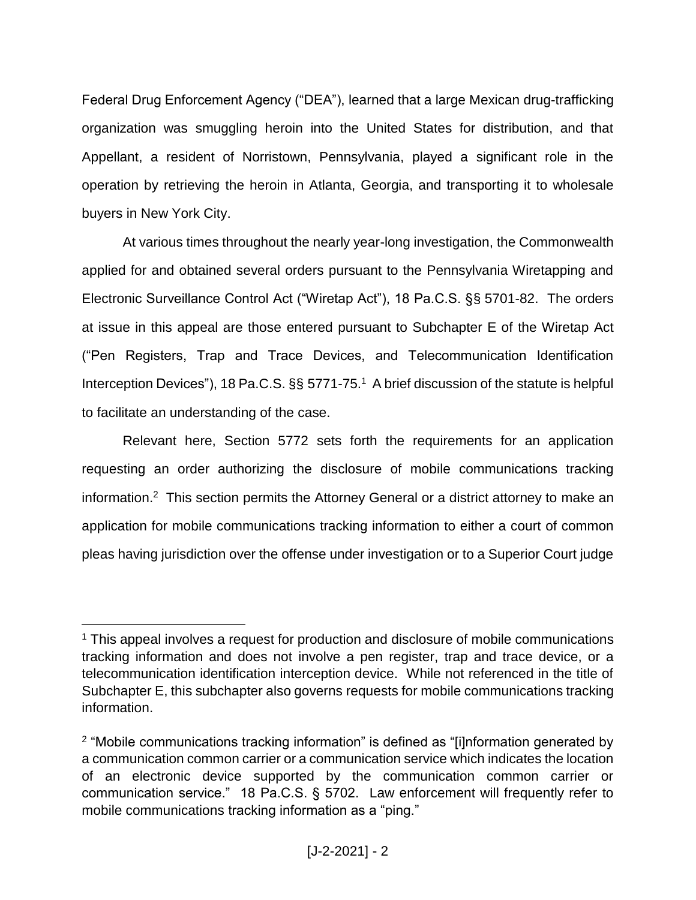Federal Drug Enforcement Agency ("DEA"), learned that a large Mexican drug-trafficking organization was smuggling heroin into the United States for distribution, and that Appellant, a resident of Norristown, Pennsylvania, played a significant role in the operation by retrieving the heroin in Atlanta, Georgia, and transporting it to wholesale buyers in New York City.

At various times throughout the nearly year-long investigation, the Commonwealth applied for and obtained several orders pursuant to the Pennsylvania Wiretapping and Electronic Surveillance Control Act ("Wiretap Act"), 18 Pa.C.S. §§ 5701-82. The orders at issue in this appeal are those entered pursuant to Subchapter E of the Wiretap Act ("Pen Registers, Trap and Trace Devices, and Telecommunication Identification Interception Devices"), 18 Pa.C.S. §§ 5771-75.<sup>1</sup> A brief discussion of the statute is helpful to facilitate an understanding of the case.

Relevant here, Section 5772 sets forth the requirements for an application requesting an order authorizing the disclosure of mobile communications tracking information. <sup>2</sup> This section permits the Attorney General or a district attorney to make an application for mobile communications tracking information to either a court of common pleas having jurisdiction over the offense under investigation or to a Superior Court judge

<sup>&</sup>lt;sup>1</sup> This appeal involves a request for production and disclosure of mobile communications tracking information and does not involve a pen register, trap and trace device, or a telecommunication identification interception device. While not referenced in the title of Subchapter E, this subchapter also governs requests for mobile communications tracking information.

<sup>&</sup>lt;sup>2</sup> "Mobile communications tracking information" is defined as "[i]nformation generated by a communication common carrier or a communication service which indicates the location of an electronic device supported by the communication common carrier or communication service." 18 Pa.C.S. § 5702. Law enforcement will frequently refer to mobile communications tracking information as a "ping."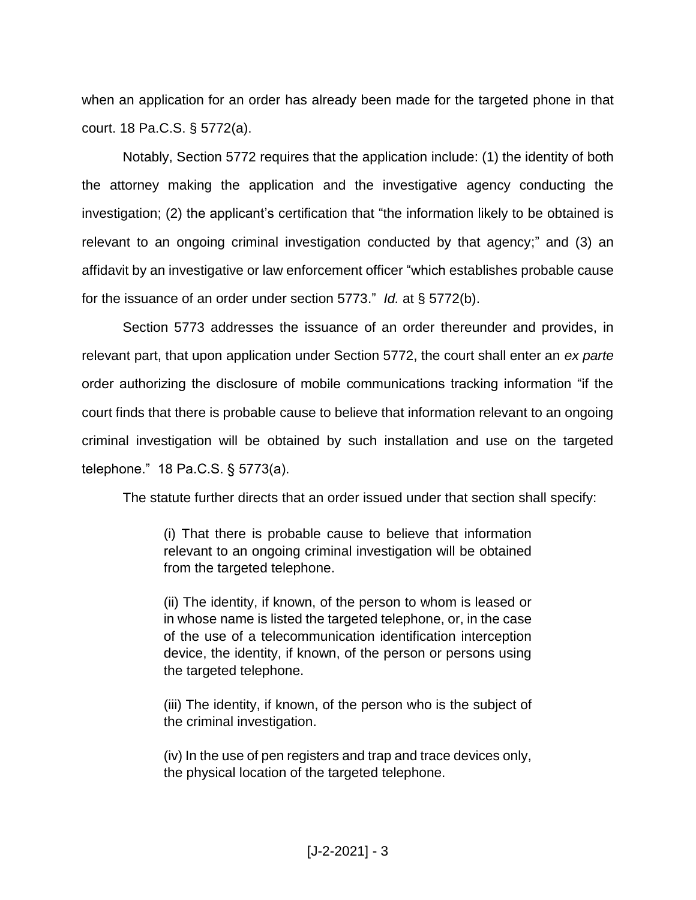when an application for an order has already been made for the targeted phone in that court. 18 Pa.C.S. § 5772(a).

Notably, Section 5772 requires that the application include: (1) the identity of both the attorney making the application and the investigative agency conducting the investigation; (2) the applicant's certification that "the information likely to be obtained is relevant to an ongoing criminal investigation conducted by that agency;" and (3) an affidavit by an investigative or law enforcement officer "which establishes probable cause for the issuance of an order under section 5773." *Id.* at § 5772(b).

Section 5773 addresses the issuance of an order thereunder and provides, in relevant part, that upon application under Section 5772, the court shall enter an *ex parte*  order authorizing the disclosure of mobile communications tracking information "if the court finds that there is probable cause to believe that information relevant to an ongoing criminal investigation will be obtained by such installation and use on the targeted telephone." 18 Pa.C.S. § 5773(a).

The statute further directs that an order issued under that section shall specify:

(i) That there is probable cause to believe that information relevant to an ongoing criminal investigation will be obtained from the targeted telephone.

(ii) The identity, if known, of the person to whom is leased or in whose name is listed the targeted telephone, or, in the case of the use of a telecommunication identification interception device, the identity, if known, of the person or persons using the targeted telephone.

(iii) The identity, if known, of the person who is the subject of the criminal investigation.

(iv) In the use of pen registers and trap and trace devices only, the physical location of the targeted telephone.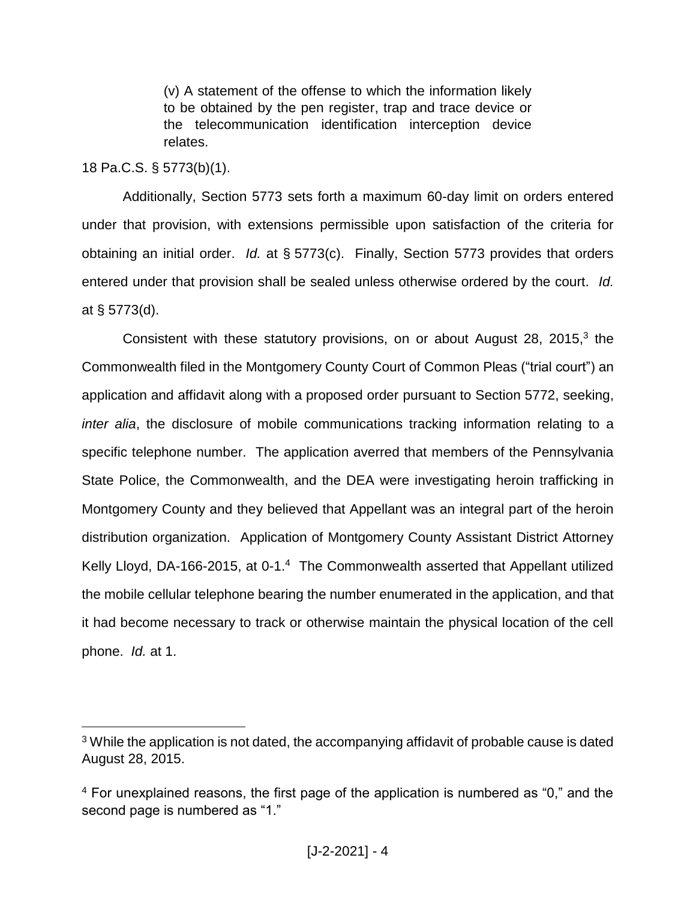(v) A statement of the offense to which the information likely to be obtained by the pen register, trap and trace device or the telecommunication identification interception device relates.

# 18 Pa.C.S. § 5773(b)(1).

 $\overline{a}$ 

Additionally, Section 5773 sets forth a maximum 60-day limit on orders entered under that provision, with extensions permissible upon satisfaction of the criteria for obtaining an initial order. *Id.* at § 5773(c). Finally, Section 5773 provides that orders entered under that provision shall be sealed unless otherwise ordered by the court. *Id.* at § 5773(d).

Consistent with these statutory provisions, on or about August 28, 2015, $3$  the Commonwealth filed in the Montgomery County Court of Common Pleas ("trial court") an application and affidavit along with a proposed order pursuant to Section 5772, seeking, *inter alia*, the disclosure of mobile communications tracking information relating to a specific telephone number. The application averred that members of the Pennsylvania State Police, the Commonwealth, and the DEA were investigating heroin trafficking in Montgomery County and they believed that Appellant was an integral part of the heroin distribution organization. Application of Montgomery County Assistant District Attorney Kelly Lloyd, DA-166-2015, at 0-1.<sup>4</sup> The Commonwealth asserted that Appellant utilized the mobile cellular telephone bearing the number enumerated in the application, and that it had become necessary to track or otherwise maintain the physical location of the cell phone. *Id.* at 1.

<sup>&</sup>lt;sup>3</sup> While the application is not dated, the accompanying affidavit of probable cause is dated August 28, 2015.

<sup>&</sup>lt;sup>4</sup> For unexplained reasons, the first page of the application is numbered as "0," and the second page is numbered as "1."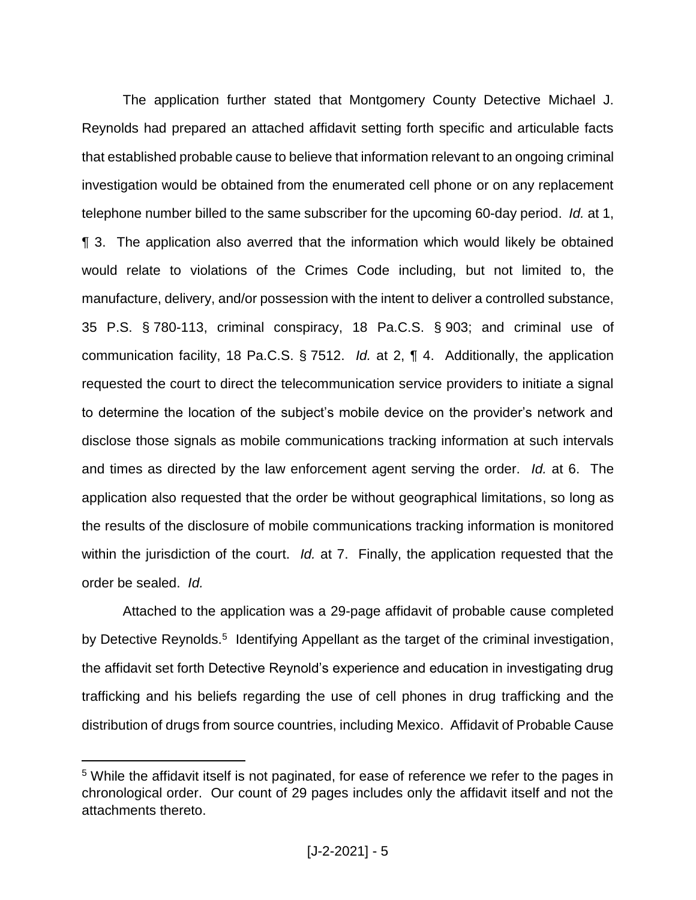The application further stated that Montgomery County Detective Michael J. Reynolds had prepared an attached affidavit setting forth specific and articulable facts that established probable cause to believe that information relevant to an ongoing criminal investigation would be obtained from the enumerated cell phone or on any replacement telephone number billed to the same subscriber for the upcoming 60-day period. *Id.* at 1, ¶ 3. The application also averred that the information which would likely be obtained would relate to violations of the Crimes Code including, but not limited to, the manufacture, delivery, and/or possession with the intent to deliver a controlled substance, 35 P.S. § 780-113, criminal conspiracy, 18 Pa.C.S. § 903; and criminal use of communication facility, 18 Pa.C.S. § 7512. *Id.* at 2, ¶ 4. Additionally, the application requested the court to direct the telecommunication service providers to initiate a signal to determine the location of the subject's mobile device on the provider's network and disclose those signals as mobile communications tracking information at such intervals and times as directed by the law enforcement agent serving the order. *Id.* at 6. The application also requested that the order be without geographical limitations, so long as the results of the disclosure of mobile communications tracking information is monitored within the jurisdiction of the court. *Id.* at 7. Finally, the application requested that the order be sealed. *Id.*

Attached to the application was a 29-page affidavit of probable cause completed by Detective Reynolds.<sup>5</sup> Identifying Appellant as the target of the criminal investigation, the affidavit set forth Detective Reynold's experience and education in investigating drug trafficking and his beliefs regarding the use of cell phones in drug trafficking and the distribution of drugs from source countries, including Mexico. Affidavit of Probable Cause

<sup>&</sup>lt;sup>5</sup> While the affidavit itself is not paginated, for ease of reference we refer to the pages in chronological order. Our count of 29 pages includes only the affidavit itself and not the attachments thereto.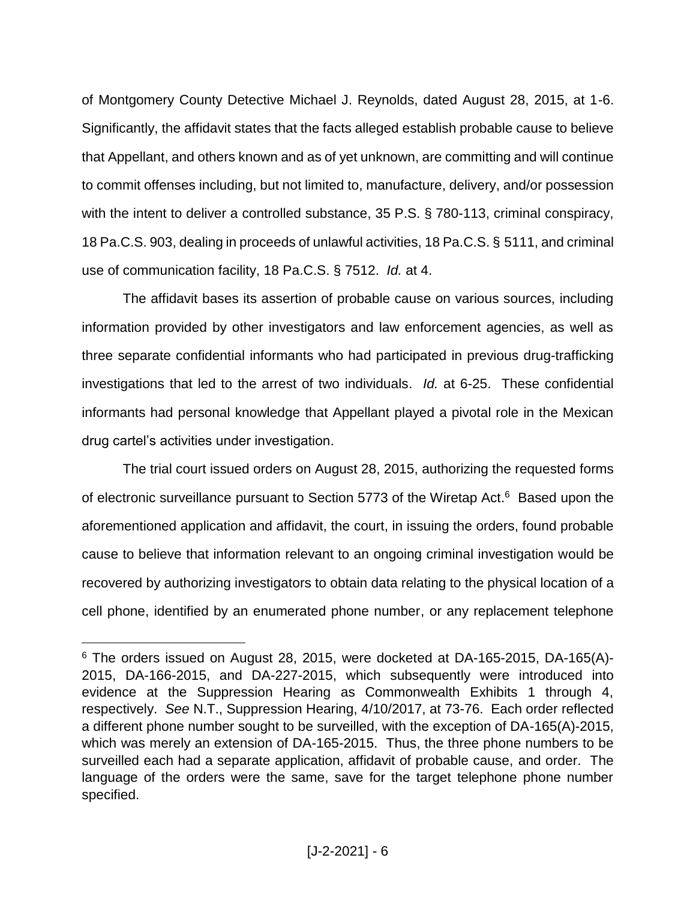of Montgomery County Detective Michael J. Reynolds, dated August 28, 2015, at 1-6. Significantly, the affidavit states that the facts alleged establish probable cause to believe that Appellant, and others known and as of yet unknown, are committing and will continue to commit offenses including, but not limited to, manufacture, delivery, and/or possession with the intent to deliver a controlled substance, 35 P.S. § 780-113, criminal conspiracy, 18 Pa.C.S. 903, dealing in proceeds of unlawful activities, 18 Pa.C.S. § 5111, and criminal use of communication facility, 18 Pa.C.S. § 7512. *Id.* at 4.

The affidavit bases its assertion of probable cause on various sources, including information provided by other investigators and law enforcement agencies, as well as three separate confidential informants who had participated in previous drug-trafficking investigations that led to the arrest of two individuals. *Id.* at 6-25. These confidential informants had personal knowledge that Appellant played a pivotal role in the Mexican drug cartel's activities under investigation.

The trial court issued orders on August 28, 2015, authorizing the requested forms of electronic surveillance pursuant to Section 5773 of the Wiretap Act.<sup>6</sup> Based upon the aforementioned application and affidavit, the court, in issuing the orders, found probable cause to believe that information relevant to an ongoing criminal investigation would be recovered by authorizing investigators to obtain data relating to the physical location of a cell phone, identified by an enumerated phone number, or any replacement telephone

<sup>&</sup>lt;sup>6</sup> The orders issued on August 28, 2015, were docketed at DA-165-2015, DA-165(A)-2015, DA-166-2015, and DA-227-2015, which subsequently were introduced into evidence at the Suppression Hearing as Commonwealth Exhibits 1 through 4, respectively. *See* N.T., Suppression Hearing, 4/10/2017, at 73-76. Each order reflected a different phone number sought to be surveilled, with the exception of DA-165(A)-2015, which was merely an extension of DA-165-2015. Thus, the three phone numbers to be surveilled each had a separate application, affidavit of probable cause, and order. The language of the orders were the same, save for the target telephone phone number specified.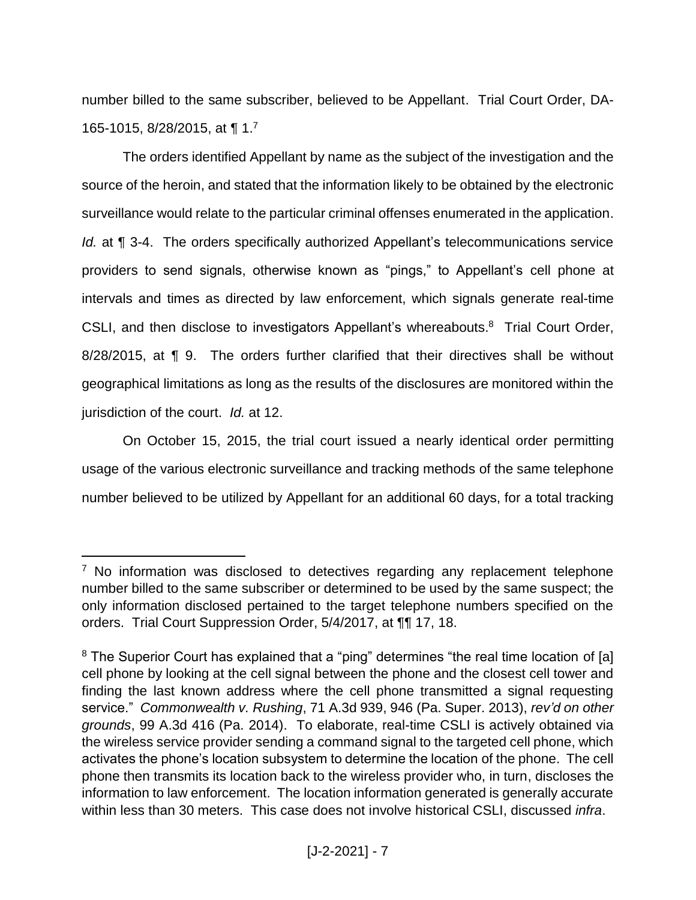number billed to the same subscriber, believed to be Appellant. Trial Court Order, DA-165-1015, 8/28/2015, at ¶ 1.<sup>7</sup>

The orders identified Appellant by name as the subject of the investigation and the source of the heroin, and stated that the information likely to be obtained by the electronic surveillance would relate to the particular criminal offenses enumerated in the application. *Id.* at **[4** 3-4. The orders specifically authorized Appellant's telecommunications service providers to send signals, otherwise known as "pings," to Appellant's cell phone at intervals and times as directed by law enforcement, which signals generate real-time CSLI, and then disclose to investigators Appellant's whereabouts.<sup>8</sup> Trial Court Order, 8/28/2015, at ¶ 9. The orders further clarified that their directives shall be without geographical limitations as long as the results of the disclosures are monitored within the jurisdiction of the court. *Id.* at 12.

On October 15, 2015, the trial court issued a nearly identical order permitting usage of the various electronic surveillance and tracking methods of the same telephone number believed to be utilized by Appellant for an additional 60 days, for a total tracking

<sup>&</sup>lt;sup>7</sup> No information was disclosed to detectives regarding any replacement telephone number billed to the same subscriber or determined to be used by the same suspect; the only information disclosed pertained to the target telephone numbers specified on the orders. Trial Court Suppression Order, 5/4/2017, at ¶¶ 17, 18.

<sup>&</sup>lt;sup>8</sup> The Superior Court has explained that a "ping" determines "the real time location of [a] cell phone by looking at the cell signal between the phone and the closest cell tower and finding the last known address where the cell phone transmitted a signal requesting service." *Commonwealth v. Rushing*, 71 A.3d 939, 946 (Pa. Super. 2013), *rev'd on other grounds*, 99 A.3d 416 (Pa. 2014). To elaborate, real-time CSLI is actively obtained via the wireless service provider sending a command signal to the targeted cell phone, which activates the phone's location subsystem to determine the location of the phone. The cell phone then transmits its location back to the wireless provider who, in turn, discloses the information to law enforcement. The location information generated is generally accurate within less than 30 meters. This case does not involve historical CSLI, discussed *infra*.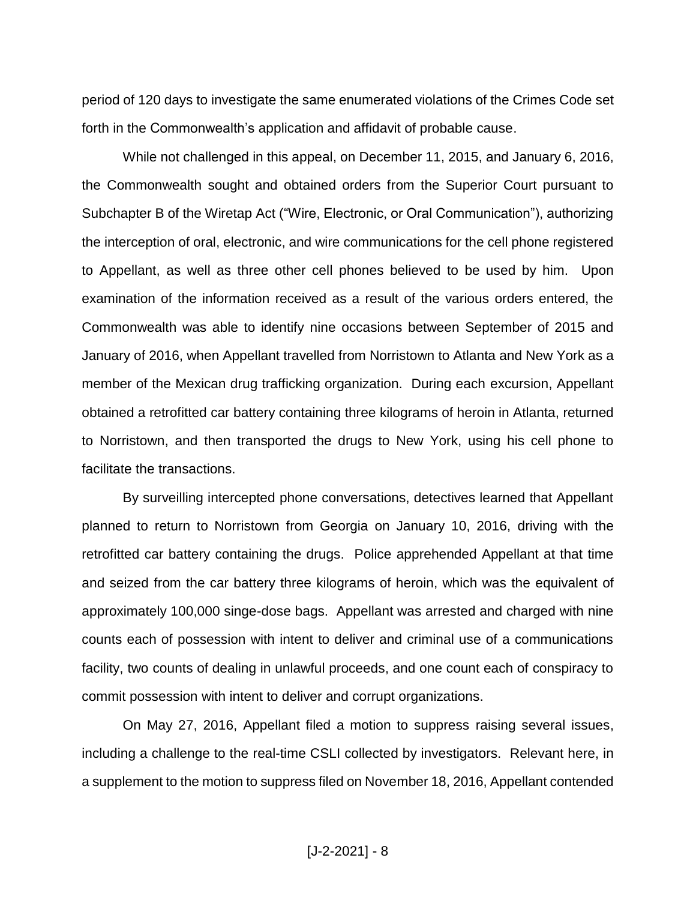period of 120 days to investigate the same enumerated violations of the Crimes Code set forth in the Commonwealth's application and affidavit of probable cause.

While not challenged in this appeal, on December 11, 2015, and January 6, 2016, the Commonwealth sought and obtained orders from the Superior Court pursuant to Subchapter B of the Wiretap Act ("Wire, Electronic, or Oral Communication"), authorizing the interception of oral, electronic, and wire communications for the cell phone registered to Appellant, as well as three other cell phones believed to be used by him. Upon examination of the information received as a result of the various orders entered, the Commonwealth was able to identify nine occasions between September of 2015 and January of 2016, when Appellant travelled from Norristown to Atlanta and New York as a member of the Mexican drug trafficking organization. During each excursion, Appellant obtained a retrofitted car battery containing three kilograms of heroin in Atlanta, returned to Norristown, and then transported the drugs to New York, using his cell phone to facilitate the transactions.

By surveilling intercepted phone conversations, detectives learned that Appellant planned to return to Norristown from Georgia on January 10, 2016, driving with the retrofitted car battery containing the drugs. Police apprehended Appellant at that time and seized from the car battery three kilograms of heroin, which was the equivalent of approximately 100,000 singe-dose bags. Appellant was arrested and charged with nine counts each of possession with intent to deliver and criminal use of a communications facility, two counts of dealing in unlawful proceeds, and one count each of conspiracy to commit possession with intent to deliver and corrupt organizations.

On May 27, 2016, Appellant filed a motion to suppress raising several issues, including a challenge to the real-time CSLI collected by investigators. Relevant here, in a supplement to the motion to suppress filed on November 18, 2016, Appellant contended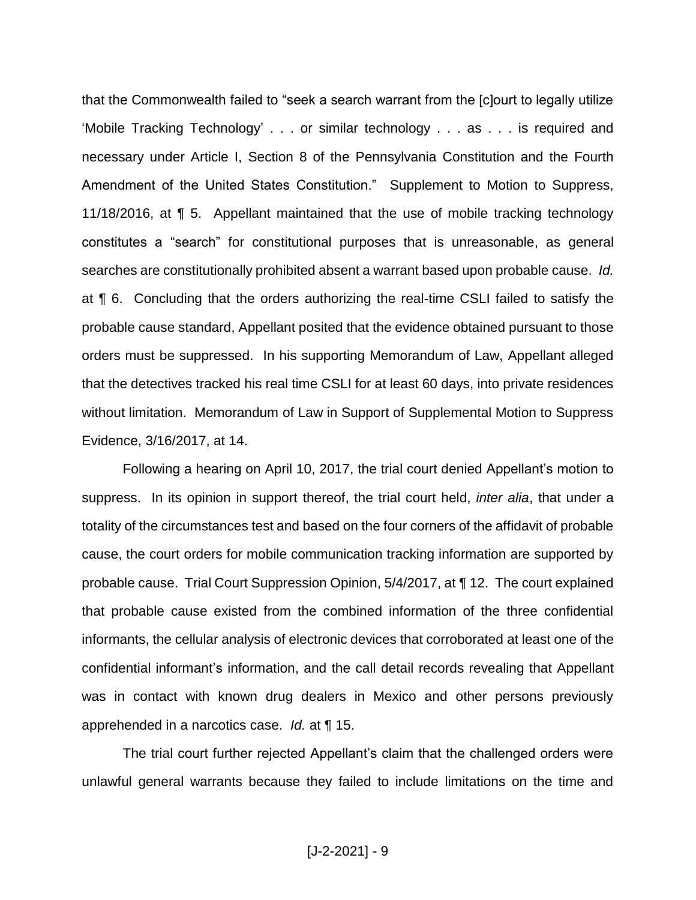that the Commonwealth failed to "seek a search warrant from the [c]ourt to legally utilize 'Mobile Tracking Technology' . . . or similar technology . . . as . . . is required and necessary under Article I, Section 8 of the Pennsylvania Constitution and the Fourth Amendment of the United States Constitution." Supplement to Motion to Suppress, 11/18/2016, at ¶ 5. Appellant maintained that the use of mobile tracking technology constitutes a "search" for constitutional purposes that is unreasonable, as general searches are constitutionally prohibited absent a warrant based upon probable cause. *Id.*  at ¶ 6. Concluding that the orders authorizing the real-time CSLI failed to satisfy the probable cause standard, Appellant posited that the evidence obtained pursuant to those orders must be suppressed. In his supporting Memorandum of Law, Appellant alleged that the detectives tracked his real time CSLI for at least 60 days, into private residences without limitation. Memorandum of Law in Support of Supplemental Motion to Suppress Evidence, 3/16/2017, at 14.

Following a hearing on April 10, 2017, the trial court denied Appellant's motion to suppress. In its opinion in support thereof, the trial court held, *inter alia*, that under a totality of the circumstances test and based on the four corners of the affidavit of probable cause, the court orders for mobile communication tracking information are supported by probable cause. Trial Court Suppression Opinion, 5/4/2017, at ¶ 12. The court explained that probable cause existed from the combined information of the three confidential informants, the cellular analysis of electronic devices that corroborated at least one of the confidential informant's information, and the call detail records revealing that Appellant was in contact with known drug dealers in Mexico and other persons previously apprehended in a narcotics case. *Id.* at ¶ 15.

The trial court further rejected Appellant's claim that the challenged orders were unlawful general warrants because they failed to include limitations on the time and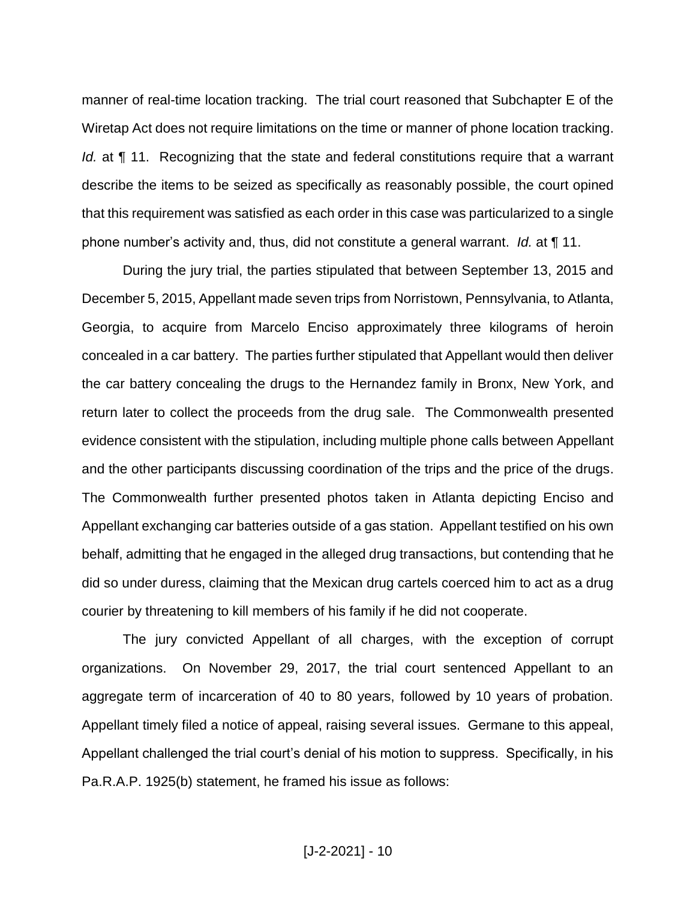manner of real-time location tracking. The trial court reasoned that Subchapter E of the Wiretap Act does not require limitations on the time or manner of phone location tracking. *Id.* at ¶ 11. Recognizing that the state and federal constitutions require that a warrant describe the items to be seized as specifically as reasonably possible, the court opined that this requirement was satisfied as each order in this case was particularized to a single phone number's activity and, thus, did not constitute a general warrant. *Id.* at ¶ 11.

During the jury trial, the parties stipulated that between September 13, 2015 and December 5, 2015, Appellant made seven trips from Norristown, Pennsylvania, to Atlanta, Georgia, to acquire from Marcelo Enciso approximately three kilograms of heroin concealed in a car battery. The parties further stipulated that Appellant would then deliver the car battery concealing the drugs to the Hernandez family in Bronx, New York, and return later to collect the proceeds from the drug sale. The Commonwealth presented evidence consistent with the stipulation, including multiple phone calls between Appellant and the other participants discussing coordination of the trips and the price of the drugs. The Commonwealth further presented photos taken in Atlanta depicting Enciso and Appellant exchanging car batteries outside of a gas station. Appellant testified on his own behalf, admitting that he engaged in the alleged drug transactions, but contending that he did so under duress, claiming that the Mexican drug cartels coerced him to act as a drug courier by threatening to kill members of his family if he did not cooperate.

The jury convicted Appellant of all charges, with the exception of corrupt organizations. On November 29, 2017, the trial court sentenced Appellant to an aggregate term of incarceration of 40 to 80 years, followed by 10 years of probation. Appellant timely filed a notice of appeal, raising several issues. Germane to this appeal, Appellant challenged the trial court's denial of his motion to suppress. Specifically, in his Pa.R.A.P. 1925(b) statement, he framed his issue as follows: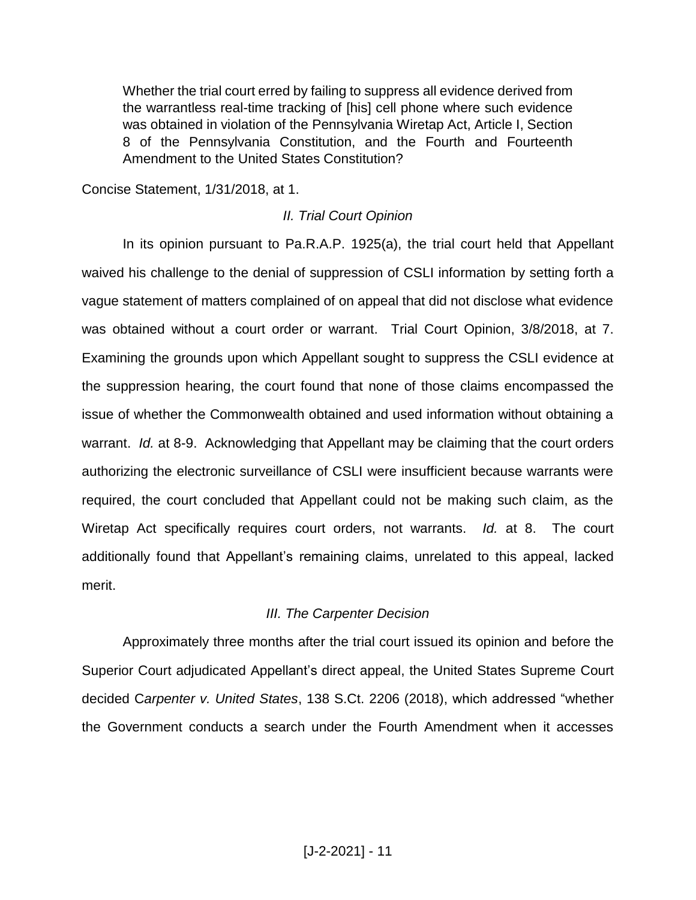Whether the trial court erred by failing to suppress all evidence derived from the warrantless real-time tracking of [his] cell phone where such evidence was obtained in violation of the Pennsylvania Wiretap Act, Article I, Section 8 of the Pennsylvania Constitution, and the Fourth and Fourteenth Amendment to the United States Constitution?

Concise Statement, 1/31/2018, at 1.

#### *II. Trial Court Opinion*

In its opinion pursuant to Pa.R.A.P. 1925(a), the trial court held that Appellant waived his challenge to the denial of suppression of CSLI information by setting forth a vague statement of matters complained of on appeal that did not disclose what evidence was obtained without a court order or warrant. Trial Court Opinion, 3/8/2018, at 7. Examining the grounds upon which Appellant sought to suppress the CSLI evidence at the suppression hearing, the court found that none of those claims encompassed the issue of whether the Commonwealth obtained and used information without obtaining a warrant. *Id.* at 8-9. Acknowledging that Appellant may be claiming that the court orders authorizing the electronic surveillance of CSLI were insufficient because warrants were required, the court concluded that Appellant could not be making such claim, as the Wiretap Act specifically requires court orders, not warrants. *Id.* at 8. The court additionally found that Appellant's remaining claims, unrelated to this appeal, lacked merit.

#### *III. The Carpenter Decision*

Approximately three months after the trial court issued its opinion and before the Superior Court adjudicated Appellant's direct appeal, the United States Supreme Court decided C*arpenter v. United States*, 138 S.Ct. 2206 (2018), which addressed "whether the Government conducts a search under the Fourth Amendment when it accesses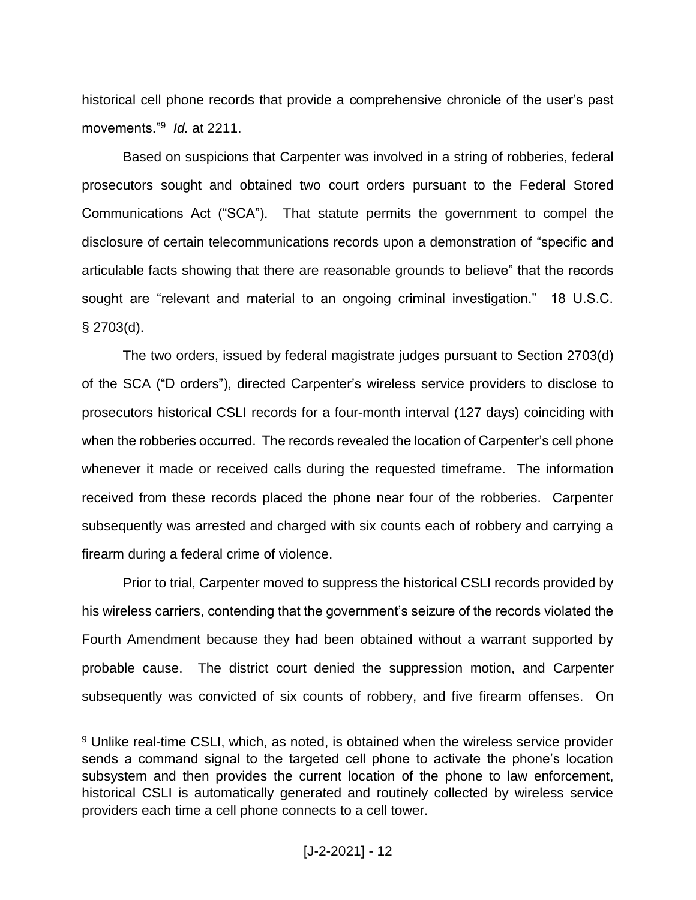historical cell phone records that provide a comprehensive chronicle of the user's past movements."<sup>9</sup> *Id.* at 2211.

Based on suspicions that Carpenter was involved in a string of robberies, federal prosecutors sought and obtained two court orders pursuant to the Federal Stored Communications Act ("SCA"). That statute permits the government to compel the disclosure of certain telecommunications records upon a demonstration of "specific and articulable facts showing that there are reasonable grounds to believe" that the records sought are "relevant and material to an ongoing criminal investigation." 18 U.S.C.  $§$  2703(d).

The two orders, issued by federal magistrate judges pursuant to Section 2703(d) of the SCA ("D orders"), directed Carpenter's wireless service providers to disclose to prosecutors historical CSLI records for a four-month interval (127 days) coinciding with when the robberies occurred. The records revealed the location of Carpenter's cell phone whenever it made or received calls during the requested timeframe. The information received from these records placed the phone near four of the robberies. Carpenter subsequently was arrested and charged with six counts each of robbery and carrying a firearm during a federal crime of violence.

Prior to trial, Carpenter moved to suppress the historical CSLI records provided by his wireless carriers, contending that the government's seizure of the records violated the Fourth Amendment because they had been obtained without a warrant supported by probable cause. The district court denied the suppression motion, and Carpenter subsequently was convicted of six counts of robbery, and five firearm offenses. On

<sup>&</sup>lt;sup>9</sup> Unlike real-time CSLI, which, as noted, is obtained when the wireless service provider sends a command signal to the targeted cell phone to activate the phone's location subsystem and then provides the current location of the phone to law enforcement, historical CSLI is automatically generated and routinely collected by wireless service providers each time a cell phone connects to a cell tower.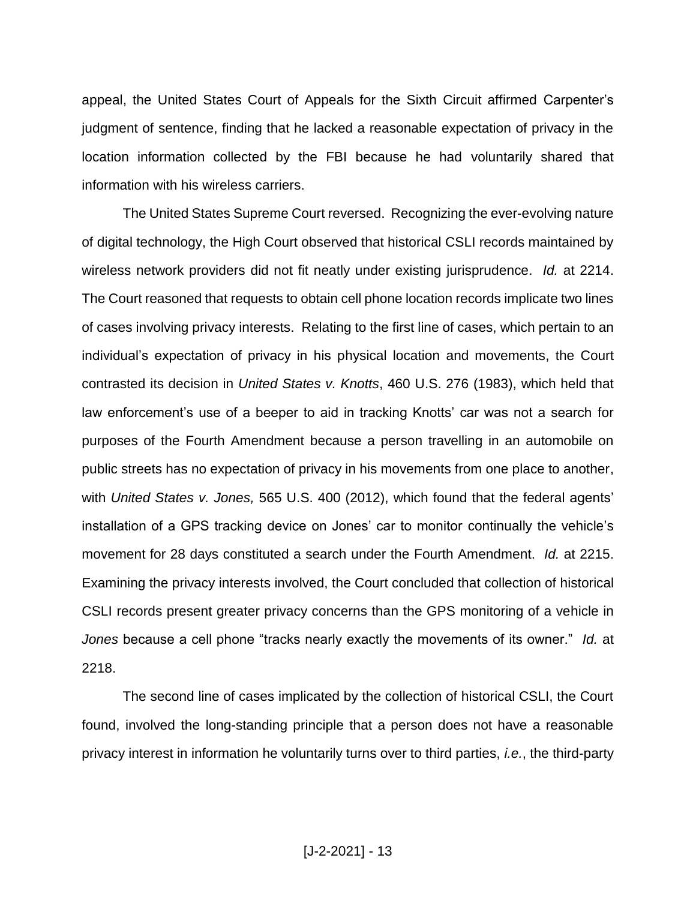appeal, the United States Court of Appeals for the Sixth Circuit affirmed Carpenter's judgment of sentence, finding that he lacked a reasonable expectation of privacy in the location information collected by the FBI because he had voluntarily shared that information with his wireless carriers.

The United States Supreme Court reversed. Recognizing the ever-evolving nature of digital technology, the High Court observed that historical CSLI records maintained by wireless network providers did not fit neatly under existing jurisprudence. *Id.* at 2214. The Court reasoned that requests to obtain cell phone location records implicate two lines of cases involving privacy interests. Relating to the first line of cases, which pertain to an individual's expectation of privacy in his physical location and movements, the Court contrasted its decision in *United States v. Knotts*, 460 U.S. 276 (1983), which held that law enforcement's use of a beeper to aid in tracking Knotts' car was not a search for purposes of the Fourth Amendment because a person travelling in an automobile on public streets has no expectation of privacy in his movements from one place to another, with *United States v. Jones,* 565 U.S. 400 (2012), which found that the federal agents' installation of a GPS tracking device on Jones' car to monitor continually the vehicle's movement for 28 days constituted a search under the Fourth Amendment. *Id.* at 2215. Examining the privacy interests involved, the Court concluded that collection of historical CSLI records present greater privacy concerns than the GPS monitoring of a vehicle in *Jones* because a cell phone "tracks nearly exactly the movements of its owner." *Id.* at 2218.

The second line of cases implicated by the collection of historical CSLI, the Court found, involved the long-standing principle that a person does not have a reasonable privacy interest in information he voluntarily turns over to third parties, *i.e.*, the third-party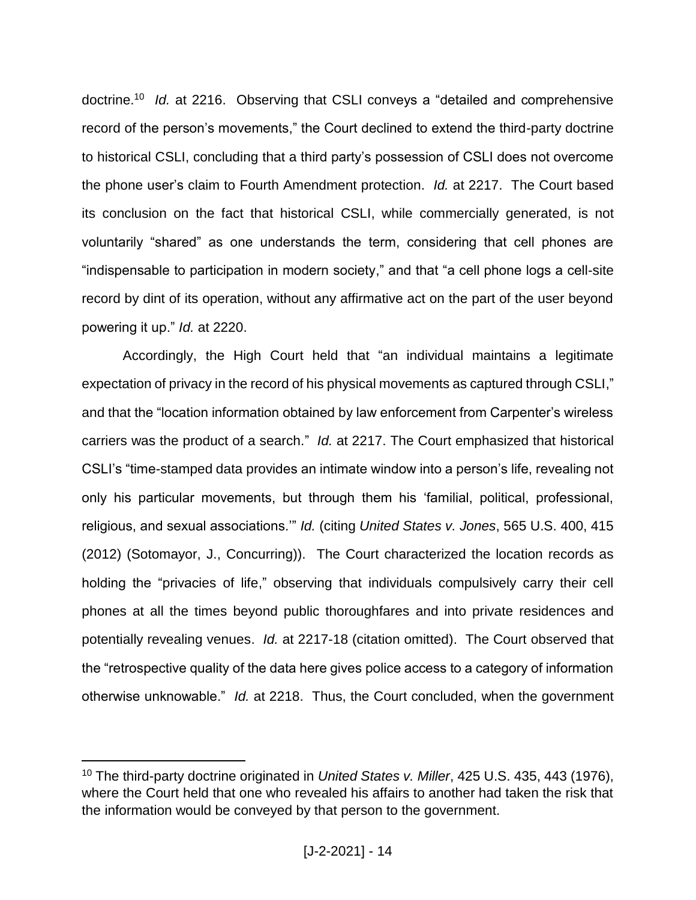doctrine.<sup>10</sup> *Id.* at 2216. Observing that CSLI conveys a "detailed and comprehensive record of the person's movements," the Court declined to extend the third-party doctrine to historical CSLI, concluding that a third party's possession of CSLI does not overcome the phone user's claim to Fourth Amendment protection. *Id.* at 2217. The Court based its conclusion on the fact that historical CSLI, while commercially generated, is not voluntarily "shared" as one understands the term, considering that cell phones are "indispensable to participation in modern society," and that "a cell phone logs a cell-site record by dint of its operation, without any affirmative act on the part of the user beyond powering it up." *Id.* at 2220.

Accordingly, the High Court held that "an individual maintains a legitimate expectation of privacy in the record of his physical movements as captured through CSLI," and that the "location information obtained by law enforcement from Carpenter's wireless carriers was the product of a search." *Id.* at 2217. The Court emphasized that historical CSLI's "time-stamped data provides an intimate window into a person's life, revealing not only his particular movements, but through them his 'familial, political, professional, religious, and sexual associations.'" *Id.* (citing *United States v. Jones*, 565 U.S. 400, 415 (2012) (Sotomayor, J., Concurring)). The Court characterized the location records as holding the "privacies of life," observing that individuals compulsively carry their cell phones at all the times beyond public thoroughfares and into private residences and potentially revealing venues. *Id.* at 2217-18 (citation omitted). The Court observed that the "retrospective quality of the data here gives police access to a category of information otherwise unknowable." *Id.* at 2218. Thus, the Court concluded, when the government

<sup>10</sup> The third-party doctrine originated in *United States v. Miller*, 425 U.S. 435, 443 (1976), where the Court held that one who revealed his affairs to another had taken the risk that the information would be conveyed by that person to the government.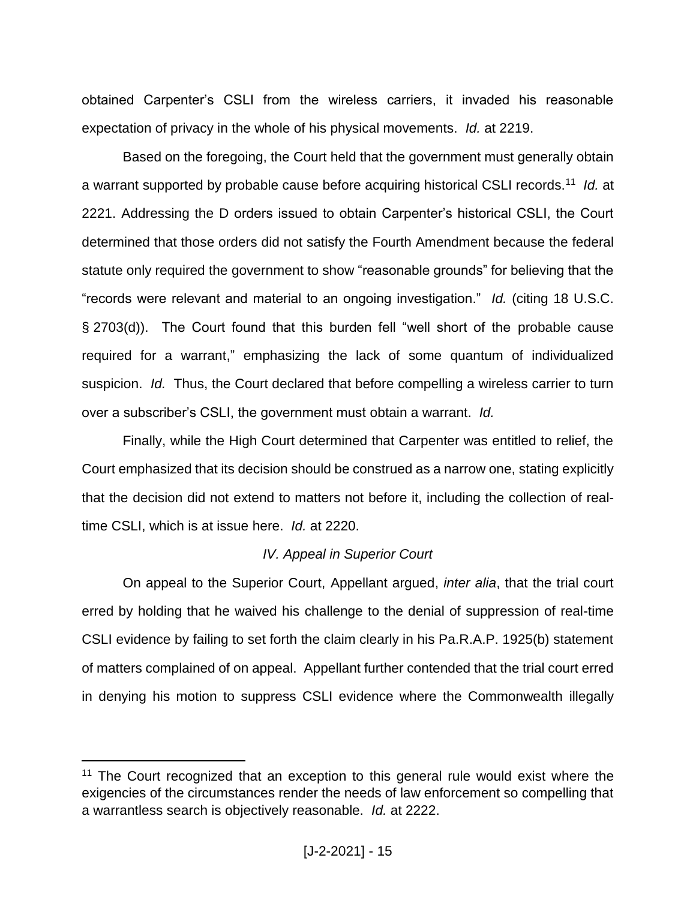obtained Carpenter's CSLI from the wireless carriers, it invaded his reasonable expectation of privacy in the whole of his physical movements. *Id.* at 2219.

Based on the foregoing, the Court held that the government must generally obtain a warrant supported by probable cause before acquiring historical CSLI records.<sup>11</sup> *Id.* at 2221. Addressing the D orders issued to obtain Carpenter's historical CSLI, the Court determined that those orders did not satisfy the Fourth Amendment because the federal statute only required the government to show "reasonable grounds" for believing that the "records were relevant and material to an ongoing investigation." *Id.* (citing 18 U.S.C. § 2703(d)). The Court found that this burden fell "well short of the probable cause required for a warrant," emphasizing the lack of some quantum of individualized suspicion. *Id.* Thus, the Court declared that before compelling a wireless carrier to turn over a subscriber's CSLI, the government must obtain a warrant. *Id.*

Finally, while the High Court determined that Carpenter was entitled to relief, the Court emphasized that its decision should be construed as a narrow one, stating explicitly that the decision did not extend to matters not before it, including the collection of realtime CSLI, which is at issue here. *Id.* at 2220.

## *IV. Appeal in Superior Court*

On appeal to the Superior Court, Appellant argued, *inter alia*, that the trial court erred by holding that he waived his challenge to the denial of suppression of real-time CSLI evidence by failing to set forth the claim clearly in his Pa.R.A.P. 1925(b) statement of matters complained of on appeal. Appellant further contended that the trial court erred in denying his motion to suppress CSLI evidence where the Commonwealth illegally

<sup>&</sup>lt;sup>11</sup> The Court recognized that an exception to this general rule would exist where the exigencies of the circumstances render the needs of law enforcement so compelling that a warrantless search is objectively reasonable. *Id.* at 2222.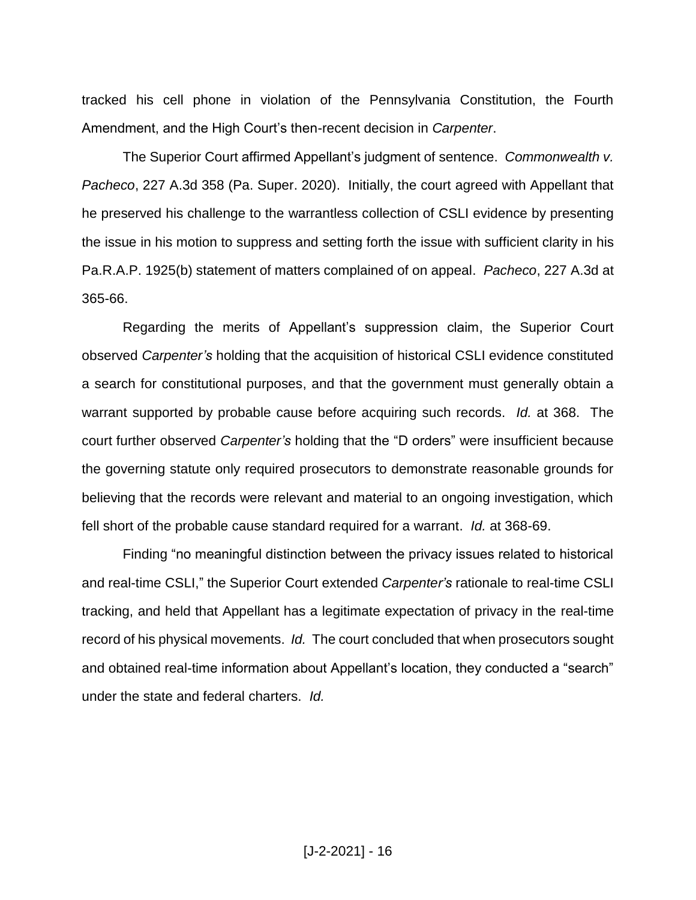tracked his cell phone in violation of the Pennsylvania Constitution, the Fourth Amendment, and the High Court's then-recent decision in *Carpenter*.

The Superior Court affirmed Appellant's judgment of sentence. *Commonwealth v. Pacheco*, 227 A.3d 358 (Pa. Super. 2020). Initially, the court agreed with Appellant that he preserved his challenge to the warrantless collection of CSLI evidence by presenting the issue in his motion to suppress and setting forth the issue with sufficient clarity in his Pa.R.A.P. 1925(b) statement of matters complained of on appeal. *Pacheco*, 227 A.3d at 365-66.

Regarding the merits of Appellant's suppression claim, the Superior Court observed *Carpenter's* holding that the acquisition of historical CSLI evidence constituted a search for constitutional purposes, and that the government must generally obtain a warrant supported by probable cause before acquiring such records. *Id.* at 368. The court further observed *Carpenter's* holding that the "D orders" were insufficient because the governing statute only required prosecutors to demonstrate reasonable grounds for believing that the records were relevant and material to an ongoing investigation, which fell short of the probable cause standard required for a warrant. *Id.* at 368-69.

Finding "no meaningful distinction between the privacy issues related to historical and real-time CSLI," the Superior Court extended *Carpenter's* rationale to real-time CSLI tracking, and held that Appellant has a legitimate expectation of privacy in the real-time record of his physical movements. *Id.* The court concluded that when prosecutors sought and obtained real-time information about Appellant's location, they conducted a "search" under the state and federal charters. *Id.*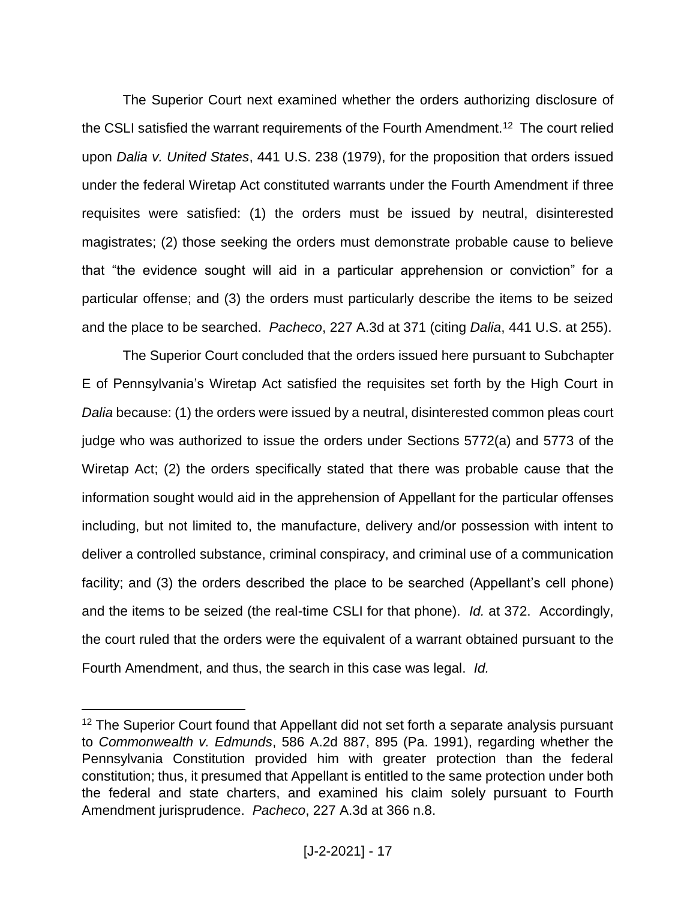The Superior Court next examined whether the orders authorizing disclosure of the CSLI satisfied the warrant requirements of the Fourth Amendment.<sup>12</sup> The court relied upon *Dalia v. United States*, 441 U.S. 238 (1979), for the proposition that orders issued under the federal Wiretap Act constituted warrants under the Fourth Amendment if three requisites were satisfied: (1) the orders must be issued by neutral, disinterested magistrates; (2) those seeking the orders must demonstrate probable cause to believe that "the evidence sought will aid in a particular apprehension or conviction" for a particular offense; and (3) the orders must particularly describe the items to be seized and the place to be searched. *Pacheco*, 227 A.3d at 371 (citing *Dalia*, 441 U.S. at 255).

The Superior Court concluded that the orders issued here pursuant to Subchapter E of Pennsylvania's Wiretap Act satisfied the requisites set forth by the High Court in *Dalia* because: (1) the orders were issued by a neutral, disinterested common pleas court judge who was authorized to issue the orders under Sections 5772(a) and 5773 of the Wiretap Act; (2) the orders specifically stated that there was probable cause that the information sought would aid in the apprehension of Appellant for the particular offenses including, but not limited to, the manufacture, delivery and/or possession with intent to deliver a controlled substance, criminal conspiracy, and criminal use of a communication facility; and (3) the orders described the place to be searched (Appellant's cell phone) and the items to be seized (the real-time CSLI for that phone). *Id.* at 372. Accordingly, the court ruled that the orders were the equivalent of a warrant obtained pursuant to the Fourth Amendment, and thus, the search in this case was legal. *Id.*

<sup>&</sup>lt;sup>12</sup> The Superior Court found that Appellant did not set forth a separate analysis pursuant to *Commonwealth v. Edmunds*, 586 A.2d 887, 895 (Pa. 1991), regarding whether the Pennsylvania Constitution provided him with greater protection than the federal constitution; thus, it presumed that Appellant is entitled to the same protection under both the federal and state charters, and examined his claim solely pursuant to Fourth Amendment jurisprudence. *Pacheco*, 227 A.3d at 366 n.8.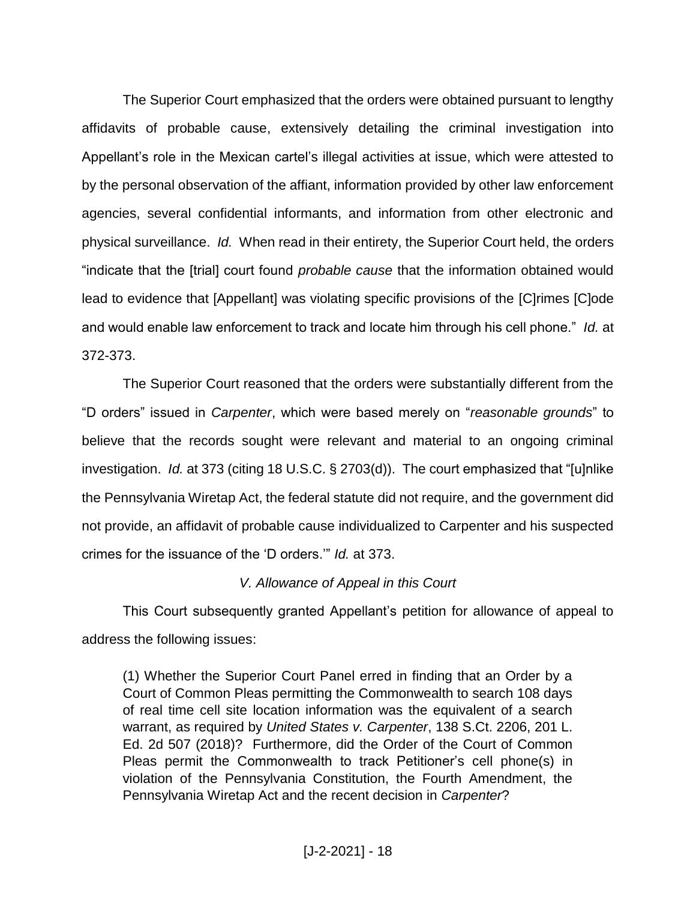The Superior Court emphasized that the orders were obtained pursuant to lengthy affidavits of probable cause, extensively detailing the criminal investigation into Appellant's role in the Mexican cartel's illegal activities at issue, which were attested to by the personal observation of the affiant, information provided by other law enforcement agencies, several confidential informants, and information from other electronic and physical surveillance. *Id.* When read in their entirety, the Superior Court held, the orders "indicate that the [trial] court found *probable cause* that the information obtained would lead to evidence that [Appellant] was violating specific provisions of the [C]rimes [C]ode and would enable law enforcement to track and locate him through his cell phone." *Id.* at 372-373.

The Superior Court reasoned that the orders were substantially different from the "D orders" issued in *Carpenter*, which were based merely on "*reasonable grounds*" to believe that the records sought were relevant and material to an ongoing criminal investigation. *Id.* at 373 (citing 18 U.S.C. § 2703(d)). The court emphasized that "[u]nlike the Pennsylvania Wiretap Act, the federal statute did not require, and the government did not provide, an affidavit of probable cause individualized to Carpenter and his suspected crimes for the issuance of the 'D orders.'" *Id.* at 373.

#### *V. Allowance of Appeal in this Court*

This Court subsequently granted Appellant's petition for allowance of appeal to address the following issues:

(1) Whether the Superior Court Panel erred in finding that an Order by a Court of Common Pleas permitting the Commonwealth to search 108 days of real time cell site location information was the equivalent of a search warrant, as required by *United States v. Carpenter*, 138 S.Ct. 2206, 201 L. Ed. 2d 507 (2018)? Furthermore, did the Order of the Court of Common Pleas permit the Commonwealth to track Petitioner's cell phone(s) in violation of the Pennsylvania Constitution, the Fourth Amendment, the Pennsylvania Wiretap Act and the recent decision in *Carpenter*?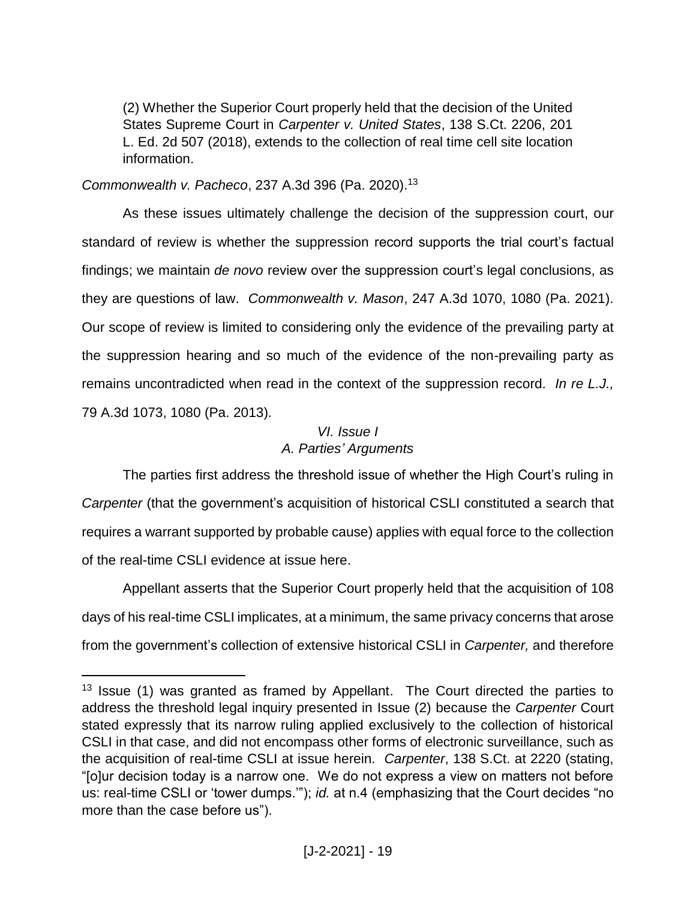(2) Whether the Superior Court properly held that the decision of the United States Supreme Court in *Carpenter v. United States*, 138 S.Ct. 2206, 201 L. Ed. 2d 507 (2018), extends to the collection of real time cell site location information.

*Commonwealth v. Pacheco*, 237 A.3d 396 (Pa. 2020).<sup>13</sup>

 $\overline{a}$ 

As these issues ultimately challenge the decision of the suppression court, our standard of review is whether the suppression record supports the trial court's factual findings; we maintain *de novo* review over the suppression court's legal conclusions, as they are questions of law. *Commonwealth v. Mason*, 247 A.3d 1070, 1080 (Pa. 2021). Our scope of review is limited to considering only the evidence of the prevailing party at the suppression hearing and so much of the evidence of the non-prevailing party as remains uncontradicted when read in the context of the suppression record. *In re L.J.,*  79 A.3d 1073, 1080 (Pa. 2013)*.*

# *VI. Issue I A. Parties' Arguments*

The parties first address the threshold issue of whether the High Court's ruling in *Carpenter* (that the government's acquisition of historical CSLI constituted a search that requires a warrant supported by probable cause) applies with equal force to the collection of the real-time CSLI evidence at issue here.

Appellant asserts that the Superior Court properly held that the acquisition of 108 days of his real-time CSLI implicates, at a minimum, the same privacy concerns that arose from the government's collection of extensive historical CSLI in *Carpenter,* and therefore

 $13$  Issue (1) was granted as framed by Appellant. The Court directed the parties to address the threshold legal inquiry presented in Issue (2) because the *Carpenter* Court stated expressly that its narrow ruling applied exclusively to the collection of historical CSLI in that case, and did not encompass other forms of electronic surveillance, such as the acquisition of real-time CSLI at issue herein. *Carpenter*, 138 S.Ct. at 2220 (stating, "[o]ur decision today is a narrow one. We do not express a view on matters not before us: real-time CSLI or 'tower dumps.'"); *id.* at n.4 (emphasizing that the Court decides "no more than the case before us").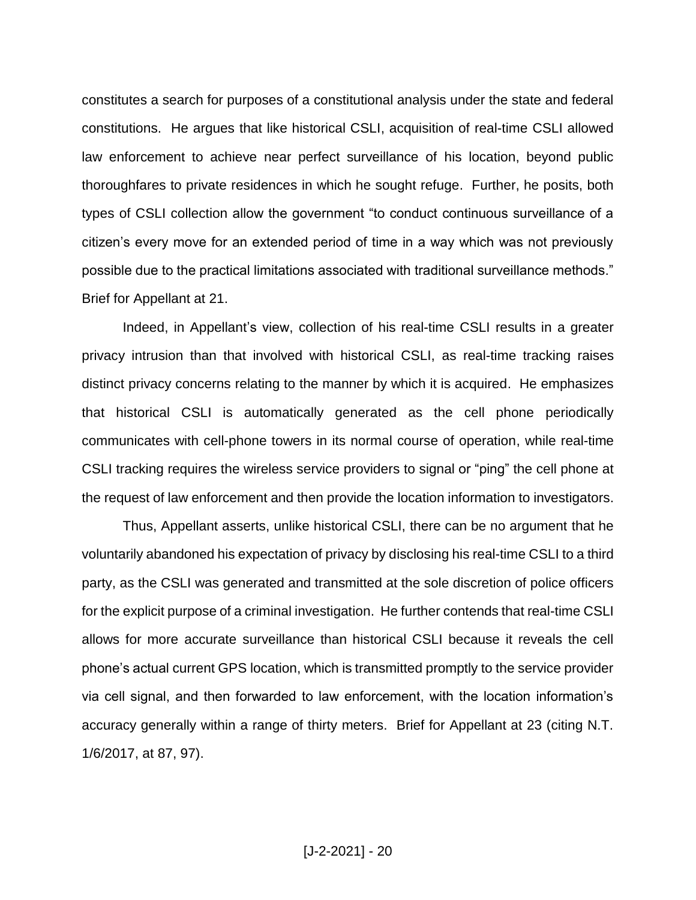constitutes a search for purposes of a constitutional analysis under the state and federal constitutions. He argues that like historical CSLI, acquisition of real-time CSLI allowed law enforcement to achieve near perfect surveillance of his location, beyond public thoroughfares to private residences in which he sought refuge. Further, he posits, both types of CSLI collection allow the government "to conduct continuous surveillance of a citizen's every move for an extended period of time in a way which was not previously possible due to the practical limitations associated with traditional surveillance methods." Brief for Appellant at 21.

Indeed, in Appellant's view, collection of his real-time CSLI results in a greater privacy intrusion than that involved with historical CSLI, as real-time tracking raises distinct privacy concerns relating to the manner by which it is acquired. He emphasizes that historical CSLI is automatically generated as the cell phone periodically communicates with cell-phone towers in its normal course of operation, while real-time CSLI tracking requires the wireless service providers to signal or "ping" the cell phone at the request of law enforcement and then provide the location information to investigators.

Thus, Appellant asserts, unlike historical CSLI, there can be no argument that he voluntarily abandoned his expectation of privacy by disclosing his real-time CSLI to a third party, as the CSLI was generated and transmitted at the sole discretion of police officers for the explicit purpose of a criminal investigation. He further contends that real-time CSLI allows for more accurate surveillance than historical CSLI because it reveals the cell phone's actual current GPS location, which is transmitted promptly to the service provider via cell signal, and then forwarded to law enforcement, with the location information's accuracy generally within a range of thirty meters. Brief for Appellant at 23 (citing N.T. 1/6/2017, at 87, 97).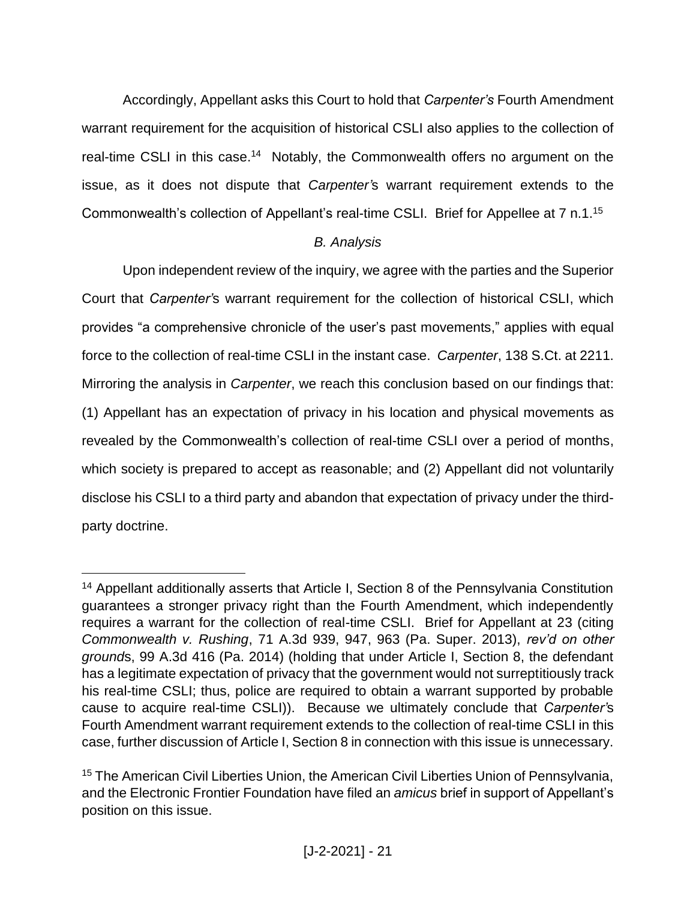Accordingly, Appellant asks this Court to hold that *Carpenter's* Fourth Amendment warrant requirement for the acquisition of historical CSLI also applies to the collection of real-time CSLI in this case.<sup>14</sup> Notably, the Commonwealth offers no argument on the issue, as it does not dispute that *Carpenter'*s warrant requirement extends to the Commonwealth's collection of Appellant's real-time CSLI. Brief for Appellee at 7 n.1.<sup>15</sup>

# *B. Analysis*

Upon independent review of the inquiry, we agree with the parties and the Superior Court that *Carpenter'*s warrant requirement for the collection of historical CSLI, which provides "a comprehensive chronicle of the user's past movements," applies with equal force to the collection of real-time CSLI in the instant case. *Carpenter*, 138 S.Ct. at 2211. Mirroring the analysis in *Carpenter*, we reach this conclusion based on our findings that: (1) Appellant has an expectation of privacy in his location and physical movements as revealed by the Commonwealth's collection of real-time CSLI over a period of months, which society is prepared to accept as reasonable; and (2) Appellant did not voluntarily disclose his CSLI to a third party and abandon that expectation of privacy under the thirdparty doctrine.

<sup>&</sup>lt;sup>14</sup> Appellant additionally asserts that Article I, Section 8 of the Pennsylvania Constitution guarantees a stronger privacy right than the Fourth Amendment, which independently requires a warrant for the collection of real-time CSLI. Brief for Appellant at 23 (citing *Commonwealth v. Rushing*, 71 A.3d 939, 947, 963 (Pa. Super. 2013), *rev'd on other ground*s, 99 A.3d 416 (Pa. 2014) (holding that under Article I, Section 8, the defendant has a legitimate expectation of privacy that the government would not surreptitiously track his real-time CSLI; thus, police are required to obtain a warrant supported by probable cause to acquire real-time CSLI)). Because we ultimately conclude that *Carpenter'*s Fourth Amendment warrant requirement extends to the collection of real-time CSLI in this case, further discussion of Article I, Section 8 in connection with this issue is unnecessary.

<sup>15</sup> The American Civil Liberties Union, the American Civil Liberties Union of Pennsylvania, and the Electronic Frontier Foundation have filed an *amicus* brief in support of Appellant's position on this issue.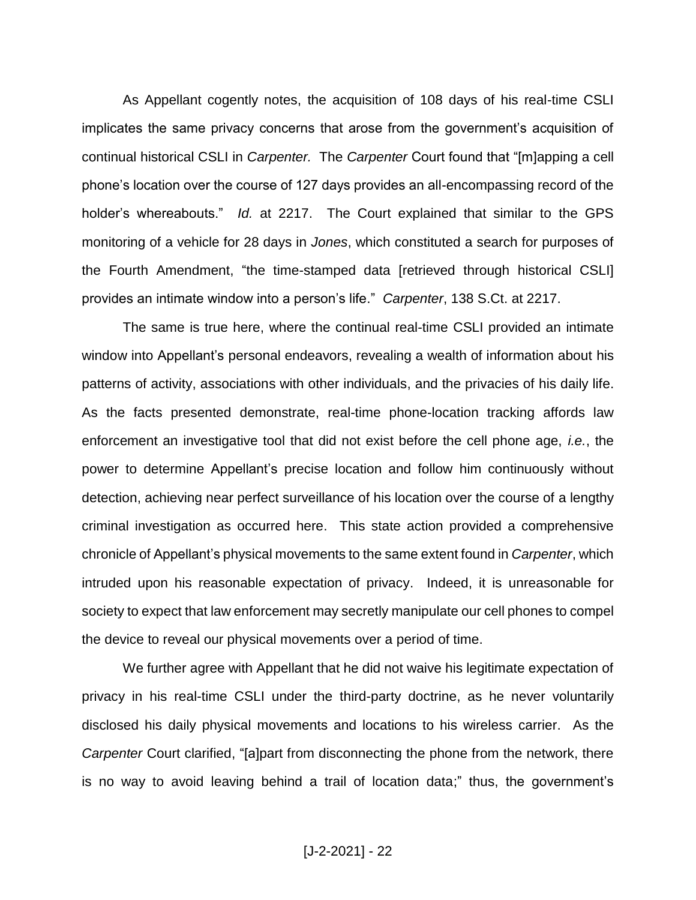As Appellant cogently notes, the acquisition of 108 days of his real-time CSLI implicates the same privacy concerns that arose from the government's acquisition of continual historical CSLI in *Carpenter.* The *Carpenter* Court found that "[m]apping a cell phone's location over the course of 127 days provides an all-encompassing record of the holder's whereabouts." *Id.* at 2217. The Court explained that similar to the GPS monitoring of a vehicle for 28 days in *Jones*, which constituted a search for purposes of the Fourth Amendment, "the time-stamped data [retrieved through historical CSLI] provides an intimate window into a person's life." *Carpenter*, 138 S.Ct. at 2217.

The same is true here, where the continual real-time CSLI provided an intimate window into Appellant's personal endeavors, revealing a wealth of information about his patterns of activity, associations with other individuals, and the privacies of his daily life. As the facts presented demonstrate, real-time phone-location tracking affords law enforcement an investigative tool that did not exist before the cell phone age, *i.e.*, the power to determine Appellant's precise location and follow him continuously without detection, achieving near perfect surveillance of his location over the course of a lengthy criminal investigation as occurred here. This state action provided a comprehensive chronicle of Appellant's physical movements to the same extent found in *Carpenter*, which intruded upon his reasonable expectation of privacy. Indeed, it is unreasonable for society to expect that law enforcement may secretly manipulate our cell phones to compel the device to reveal our physical movements over a period of time.

We further agree with Appellant that he did not waive his legitimate expectation of privacy in his real-time CSLI under the third-party doctrine, as he never voluntarily disclosed his daily physical movements and locations to his wireless carrier. As the *Carpenter* Court clarified, "[a]part from disconnecting the phone from the network, there is no way to avoid leaving behind a trail of location data;" thus, the government's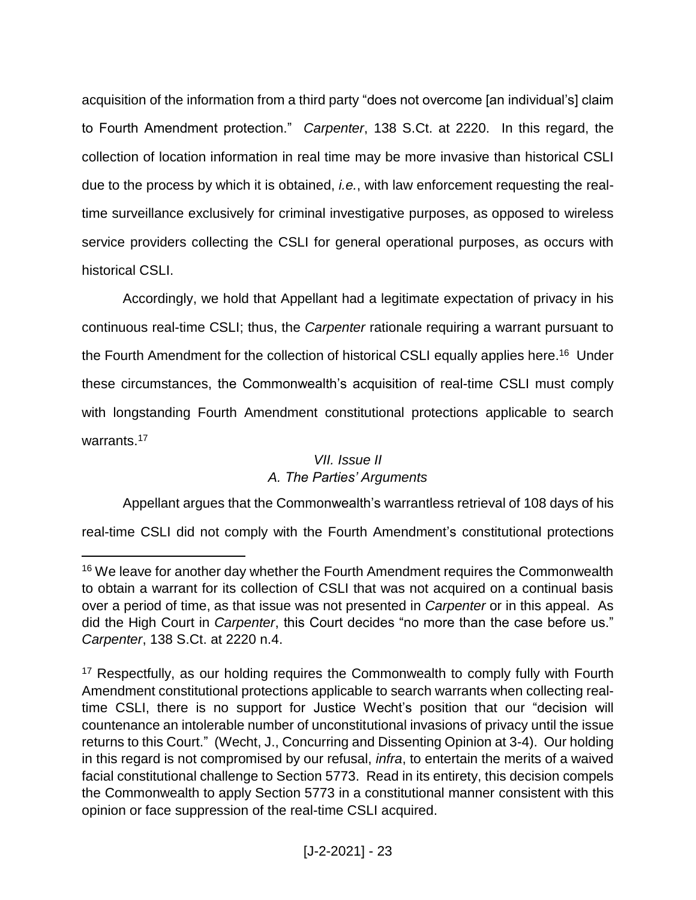acquisition of the information from a third party "does not overcome [an individual's] claim to Fourth Amendment protection." *Carpenter*, 138 S.Ct. at 2220. In this regard, the collection of location information in real time may be more invasive than historical CSLI due to the process by which it is obtained, *i.e.*, with law enforcement requesting the realtime surveillance exclusively for criminal investigative purposes, as opposed to wireless service providers collecting the CSLI for general operational purposes, as occurs with historical CSLI.

Accordingly, we hold that Appellant had a legitimate expectation of privacy in his continuous real-time CSLI; thus, the *Carpenter* rationale requiring a warrant pursuant to the Fourth Amendment for the collection of historical CSLI equally applies here.<sup>16</sup> Under these circumstances, the Commonwealth's acquisition of real-time CSLI must comply with longstanding Fourth Amendment constitutional protections applicable to search warrants.<sup>17</sup>

# *VII. Issue II A. The Parties' Arguments*

Appellant argues that the Commonwealth's warrantless retrieval of 108 days of his

real-time CSLI did not comply with the Fourth Amendment's constitutional protections

<sup>&</sup>lt;sup>16</sup> We leave for another day whether the Fourth Amendment requires the Commonwealth to obtain a warrant for its collection of CSLI that was not acquired on a continual basis over a period of time, as that issue was not presented in *Carpenter* or in this appeal. As did the High Court in *Carpenter*, this Court decides "no more than the case before us." *Carpenter*, 138 S.Ct. at 2220 n.4.

<sup>&</sup>lt;sup>17</sup> Respectfully, as our holding requires the Commonwealth to comply fully with Fourth Amendment constitutional protections applicable to search warrants when collecting realtime CSLI, there is no support for Justice Wecht's position that our "decision will countenance an intolerable number of unconstitutional invasions of privacy until the issue returns to this Court." (Wecht, J., Concurring and Dissenting Opinion at 3-4). Our holding in this regard is not compromised by our refusal, *infra*, to entertain the merits of a waived facial constitutional challenge to Section 5773. Read in its entirety, this decision compels the Commonwealth to apply Section 5773 in a constitutional manner consistent with this opinion or face suppression of the real-time CSLI acquired.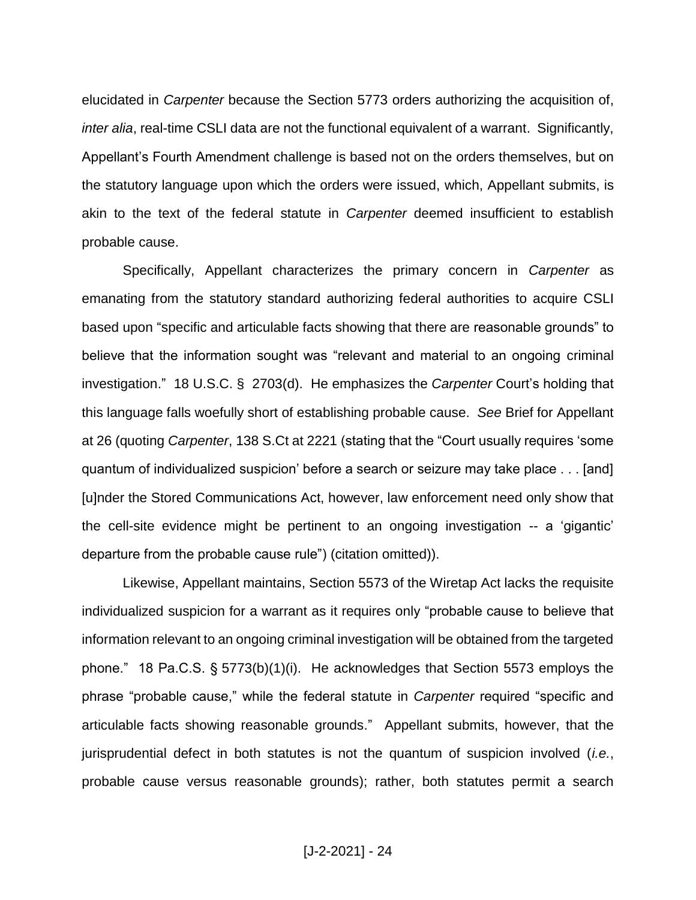elucidated in *Carpenter* because the Section 5773 orders authorizing the acquisition of, *inter alia*, real-time CSLI data are not the functional equivalent of a warrant. Significantly, Appellant's Fourth Amendment challenge is based not on the orders themselves, but on the statutory language upon which the orders were issued, which, Appellant submits, is akin to the text of the federal statute in *Carpenter* deemed insufficient to establish probable cause.

Specifically, Appellant characterizes the primary concern in *Carpenter* as emanating from the statutory standard authorizing federal authorities to acquire CSLI based upon "specific and articulable facts showing that there are reasonable grounds" to believe that the information sought was "relevant and material to an ongoing criminal investigation." 18 U.S.C. § 2703(d). He emphasizes the *Carpenter* Court's holding that this language falls woefully short of establishing probable cause. *See* Brief for Appellant at 26 (quoting *Carpenter*, 138 S.Ct at 2221 (stating that the "Court usually requires 'some quantum of individualized suspicion' before a search or seizure may take place . . . [and] [u]nder the Stored Communications Act, however, law enforcement need only show that the cell-site evidence might be pertinent to an ongoing investigation -- a 'gigantic' departure from the probable cause rule") (citation omitted)).

Likewise, Appellant maintains, Section 5573 of the Wiretap Act lacks the requisite individualized suspicion for a warrant as it requires only "probable cause to believe that information relevant to an ongoing criminal investigation will be obtained from the targeted phone." 18 Pa.C.S. § 5773(b)(1)(i). He acknowledges that Section 5573 employs the phrase "probable cause," while the federal statute in *Carpenter* required "specific and articulable facts showing reasonable grounds." Appellant submits, however, that the jurisprudential defect in both statutes is not the quantum of suspicion involved (*i.e.*, probable cause versus reasonable grounds); rather, both statutes permit a search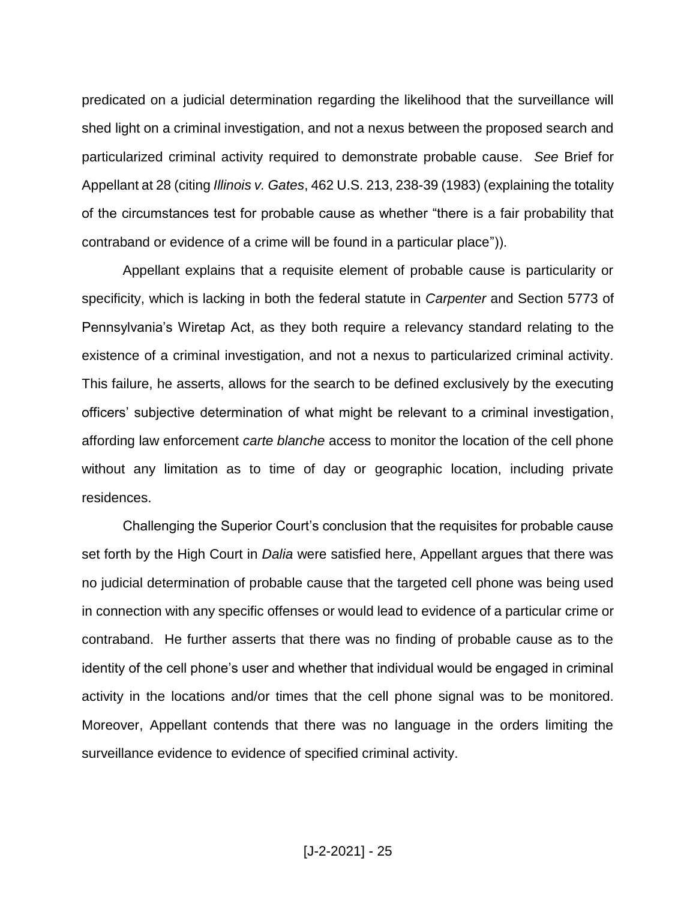predicated on a judicial determination regarding the likelihood that the surveillance will shed light on a criminal investigation, and not a nexus between the proposed search and particularized criminal activity required to demonstrate probable cause. *See* Brief for Appellant at 28 (citing *Illinois v. Gates*, 462 U.S. 213, 238-39 (1983) (explaining the totality of the circumstances test for probable cause as whether "there is a fair probability that contraband or evidence of a crime will be found in a particular place")).

Appellant explains that a requisite element of probable cause is particularity or specificity, which is lacking in both the federal statute in *Carpenter* and Section 5773 of Pennsylvania's Wiretap Act, as they both require a relevancy standard relating to the existence of a criminal investigation, and not a nexus to particularized criminal activity. This failure, he asserts, allows for the search to be defined exclusively by the executing officers' subjective determination of what might be relevant to a criminal investigation, affording law enforcement *carte blanche* access to monitor the location of the cell phone without any limitation as to time of day or geographic location, including private residences.

Challenging the Superior Court's conclusion that the requisites for probable cause set forth by the High Court in *Dalia* were satisfied here, Appellant argues that there was no judicial determination of probable cause that the targeted cell phone was being used in connection with any specific offenses or would lead to evidence of a particular crime or contraband. He further asserts that there was no finding of probable cause as to the identity of the cell phone's user and whether that individual would be engaged in criminal activity in the locations and/or times that the cell phone signal was to be monitored. Moreover, Appellant contends that there was no language in the orders limiting the surveillance evidence to evidence of specified criminal activity.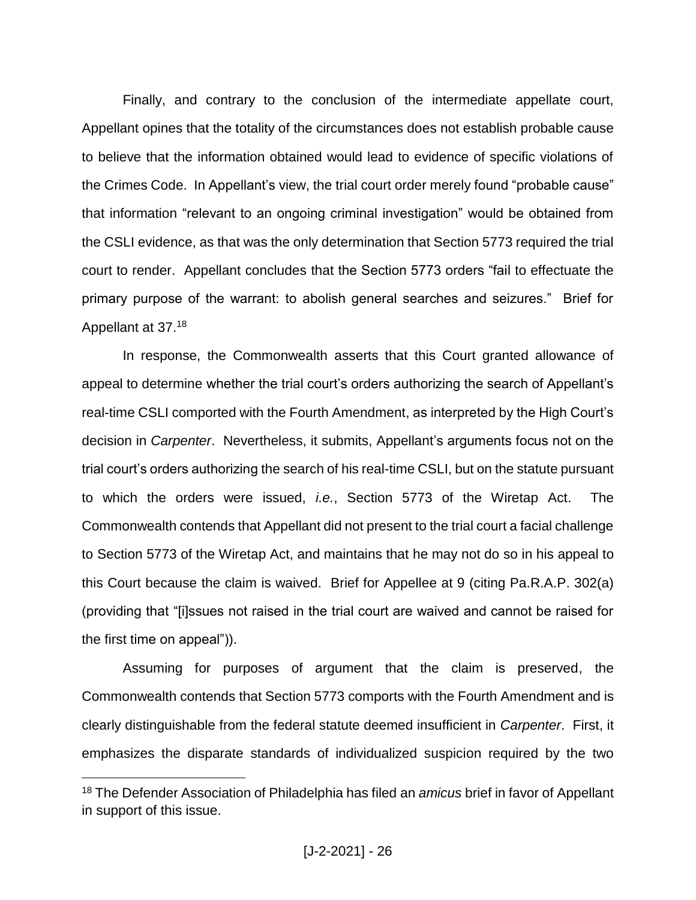Finally, and contrary to the conclusion of the intermediate appellate court, Appellant opines that the totality of the circumstances does not establish probable cause to believe that the information obtained would lead to evidence of specific violations of the Crimes Code. In Appellant's view, the trial court order merely found "probable cause" that information "relevant to an ongoing criminal investigation" would be obtained from the CSLI evidence, as that was the only determination that Section 5773 required the trial court to render. Appellant concludes that the Section 5773 orders "fail to effectuate the primary purpose of the warrant: to abolish general searches and seizures." Brief for Appellant at 37.<sup>18</sup>

In response, the Commonwealth asserts that this Court granted allowance of appeal to determine whether the trial court's orders authorizing the search of Appellant's real-time CSLI comported with the Fourth Amendment, as interpreted by the High Court's decision in *Carpenter*. Nevertheless, it submits, Appellant's arguments focus not on the trial court's orders authorizing the search of his real-time CSLI, but on the statute pursuant to which the orders were issued, *i.e.*, Section 5773 of the Wiretap Act. The Commonwealth contends that Appellant did not present to the trial court a facial challenge to Section 5773 of the Wiretap Act, and maintains that he may not do so in his appeal to this Court because the claim is waived. Brief for Appellee at 9 (citing Pa.R.A.P. 302(a) (providing that "[i]ssues not raised in the trial court are waived and cannot be raised for the first time on appeal")).

Assuming for purposes of argument that the claim is preserved, the Commonwealth contends that Section 5773 comports with the Fourth Amendment and is clearly distinguishable from the federal statute deemed insufficient in *Carpenter*. First, it emphasizes the disparate standards of individualized suspicion required by the two

<sup>18</sup> The Defender Association of Philadelphia has filed an *amicus* brief in favor of Appellant in support of this issue.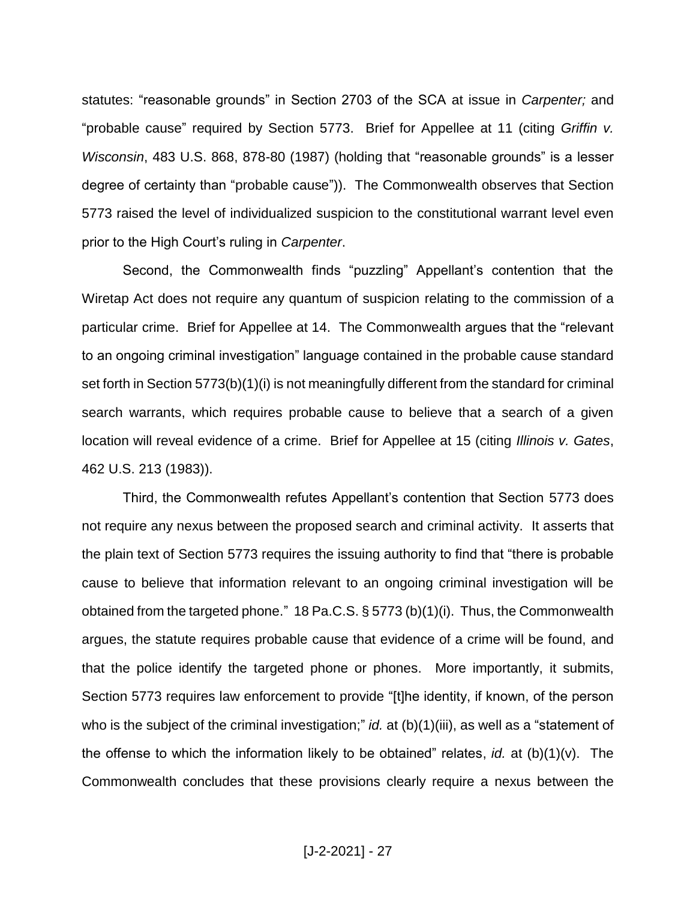statutes: "reasonable grounds" in Section 2703 of the SCA at issue in *Carpenter;* and "probable cause" required by Section 5773. Brief for Appellee at 11 (citing *Griffin v. Wisconsin*, 483 U.S. 868, 878-80 (1987) (holding that "reasonable grounds" is a lesser degree of certainty than "probable cause")). The Commonwealth observes that Section 5773 raised the level of individualized suspicion to the constitutional warrant level even prior to the High Court's ruling in *Carpenter*.

Second, the Commonwealth finds "puzzling" Appellant's contention that the Wiretap Act does not require any quantum of suspicion relating to the commission of a particular crime. Brief for Appellee at 14. The Commonwealth argues that the "relevant to an ongoing criminal investigation" language contained in the probable cause standard set forth in Section 5773(b)(1)(i) is not meaningfully different from the standard for criminal search warrants, which requires probable cause to believe that a search of a given location will reveal evidence of a crime. Brief for Appellee at 15 (citing *Illinois v. Gates*, 462 U.S. 213 (1983)).

Third, the Commonwealth refutes Appellant's contention that Section 5773 does not require any nexus between the proposed search and criminal activity. It asserts that the plain text of Section 5773 requires the issuing authority to find that "there is probable cause to believe that information relevant to an ongoing criminal investigation will be obtained from the targeted phone." 18 Pa.C.S. § 5773 (b)(1)(i). Thus, the Commonwealth argues, the statute requires probable cause that evidence of a crime will be found, and that the police identify the targeted phone or phones. More importantly, it submits, Section 5773 requires law enforcement to provide "[t]he identity, if known, of the person who is the subject of the criminal investigation;" *id.* at (b)(1)(iii), as well as a "statement of the offense to which the information likely to be obtained" relates, *id.* at (b)(1)(v). The Commonwealth concludes that these provisions clearly require a nexus between the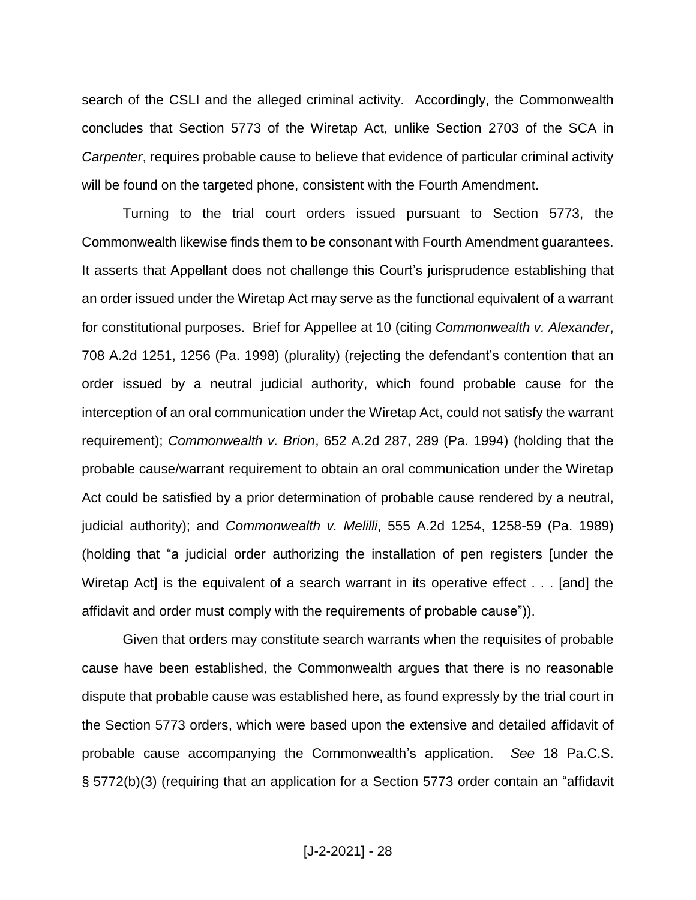search of the CSLI and the alleged criminal activity. Accordingly, the Commonwealth concludes that Section 5773 of the Wiretap Act, unlike Section 2703 of the SCA in *Carpenter*, requires probable cause to believe that evidence of particular criminal activity will be found on the targeted phone, consistent with the Fourth Amendment.

Turning to the trial court orders issued pursuant to Section 5773, the Commonwealth likewise finds them to be consonant with Fourth Amendment guarantees. It asserts that Appellant does not challenge this Court's jurisprudence establishing that an order issued under the Wiretap Act may serve as the functional equivalent of a warrant for constitutional purposes. Brief for Appellee at 10 (citing *Commonwealth v. Alexander*, 708 A.2d 1251, 1256 (Pa. 1998) (plurality) (rejecting the defendant's contention that an order issued by a neutral judicial authority, which found probable cause for the interception of an oral communication under the Wiretap Act, could not satisfy the warrant requirement); *Commonwealth v. Brion*, 652 A.2d 287, 289 (Pa. 1994) (holding that the probable cause/warrant requirement to obtain an oral communication under the Wiretap Act could be satisfied by a prior determination of probable cause rendered by a neutral, judicial authority); and *Commonwealth v. Melilli*, 555 A.2d 1254, 1258-59 (Pa. 1989) (holding that "a judicial order authorizing the installation of pen registers [under the Wiretap Act] is the equivalent of a search warrant in its operative effect . . . [and] the affidavit and order must comply with the requirements of probable cause")).

Given that orders may constitute search warrants when the requisites of probable cause have been established, the Commonwealth argues that there is no reasonable dispute that probable cause was established here, as found expressly by the trial court in the Section 5773 orders, which were based upon the extensive and detailed affidavit of probable cause accompanying the Commonwealth's application. *See* 18 Pa.C.S. § 5772(b)(3) (requiring that an application for a Section 5773 order contain an "affidavit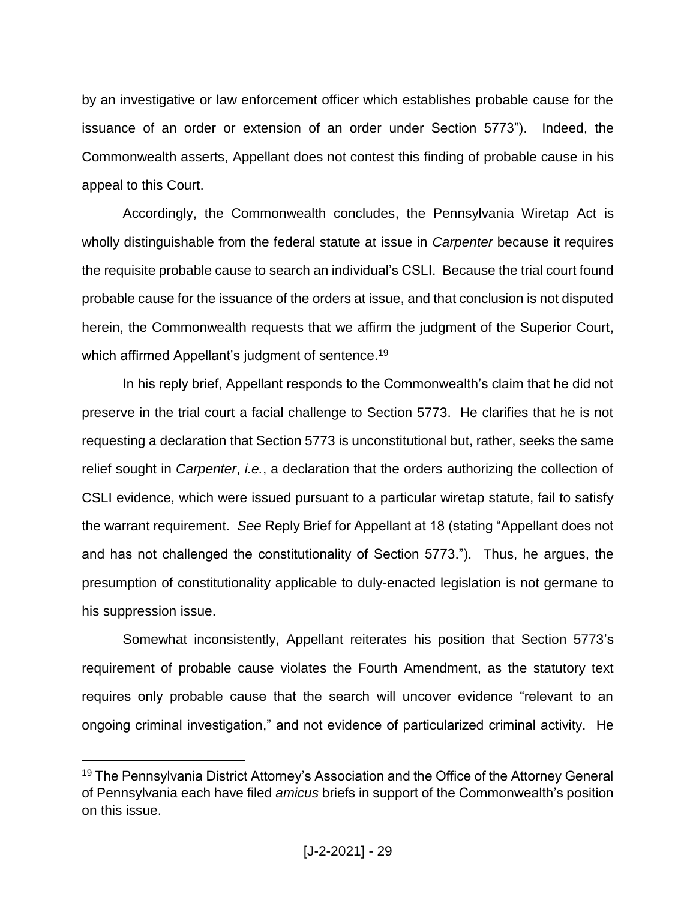by an investigative or law enforcement officer which establishes probable cause for the issuance of an order or extension of an order under Section 5773"). Indeed, the Commonwealth asserts, Appellant does not contest this finding of probable cause in his appeal to this Court.

Accordingly, the Commonwealth concludes, the Pennsylvania Wiretap Act is wholly distinguishable from the federal statute at issue in *Carpenter* because it requires the requisite probable cause to search an individual's CSLI. Because the trial court found probable cause for the issuance of the orders at issue, and that conclusion is not disputed herein, the Commonwealth requests that we affirm the judgment of the Superior Court, which affirmed Appellant's judgment of sentence.<sup>19</sup>

In his reply brief, Appellant responds to the Commonwealth's claim that he did not preserve in the trial court a facial challenge to Section 5773. He clarifies that he is not requesting a declaration that Section 5773 is unconstitutional but, rather, seeks the same relief sought in *Carpenter*, *i.e.*, a declaration that the orders authorizing the collection of CSLI evidence, which were issued pursuant to a particular wiretap statute, fail to satisfy the warrant requirement. *See* Reply Brief for Appellant at 18 (stating "Appellant does not and has not challenged the constitutionality of Section 5773."). Thus, he argues, the presumption of constitutionality applicable to duly-enacted legislation is not germane to his suppression issue.

Somewhat inconsistently, Appellant reiterates his position that Section 5773's requirement of probable cause violates the Fourth Amendment, as the statutory text requires only probable cause that the search will uncover evidence "relevant to an ongoing criminal investigation," and not evidence of particularized criminal activity. He

<sup>&</sup>lt;sup>19</sup> The Pennsylvania District Attorney's Association and the Office of the Attorney General of Pennsylvania each have filed *amicus* briefs in support of the Commonwealth's position on this issue.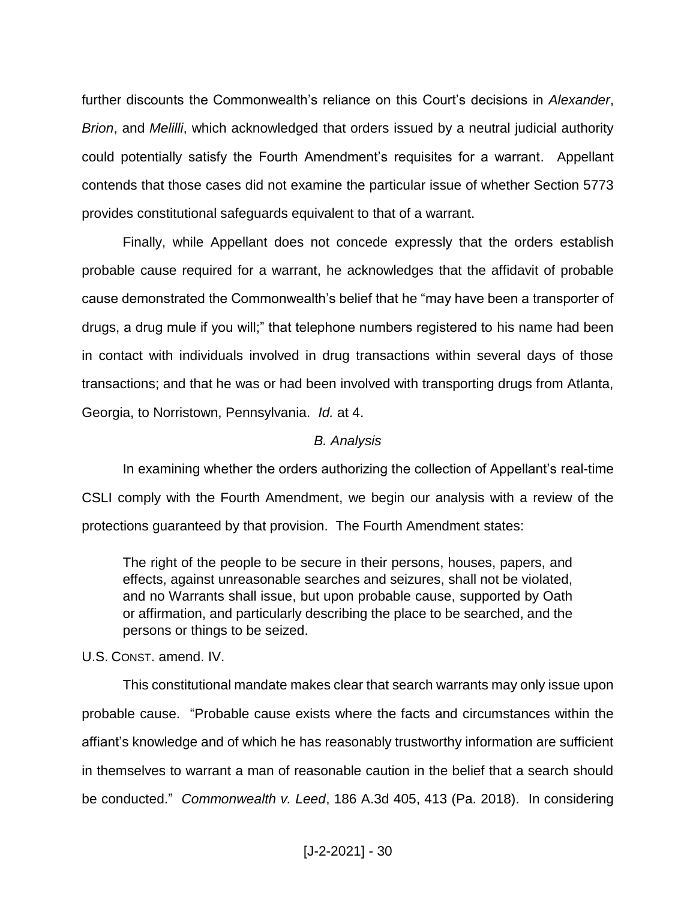further discounts the Commonwealth's reliance on this Court's decisions in *Alexander*, *Brion*, and *Melilli*, which acknowledged that orders issued by a neutral judicial authority could potentially satisfy the Fourth Amendment's requisites for a warrant. Appellant contends that those cases did not examine the particular issue of whether Section 5773 provides constitutional safeguards equivalent to that of a warrant.

Finally, while Appellant does not concede expressly that the orders establish probable cause required for a warrant, he acknowledges that the affidavit of probable cause demonstrated the Commonwealth's belief that he "may have been a transporter of drugs, a drug mule if you will;" that telephone numbers registered to his name had been in contact with individuals involved in drug transactions within several days of those transactions; and that he was or had been involved with transporting drugs from Atlanta, Georgia, to Norristown, Pennsylvania. *Id.* at 4.

#### *B. Analysis*

In examining whether the orders authorizing the collection of Appellant's real-time CSLI comply with the Fourth Amendment, we begin our analysis with a review of the protections guaranteed by that provision. The Fourth Amendment states:

The right of the people to be secure in their persons, houses, papers, and effects, against unreasonable searches and seizures, shall not be violated, and no Warrants shall issue, but upon probable cause, supported by Oath or affirmation, and particularly describing the place to be searched, and the persons or things to be seized.

U.S. CONST. amend. IV.

This constitutional mandate makes clear that search warrants may only issue upon probable cause. "Probable cause exists where the facts and circumstances within the affiant's knowledge and of which he has reasonably trustworthy information are sufficient in themselves to warrant a man of reasonable caution in the belief that a search should be conducted." *Commonwealth v. Leed*, 186 A.3d 405, 413 (Pa. 2018). In considering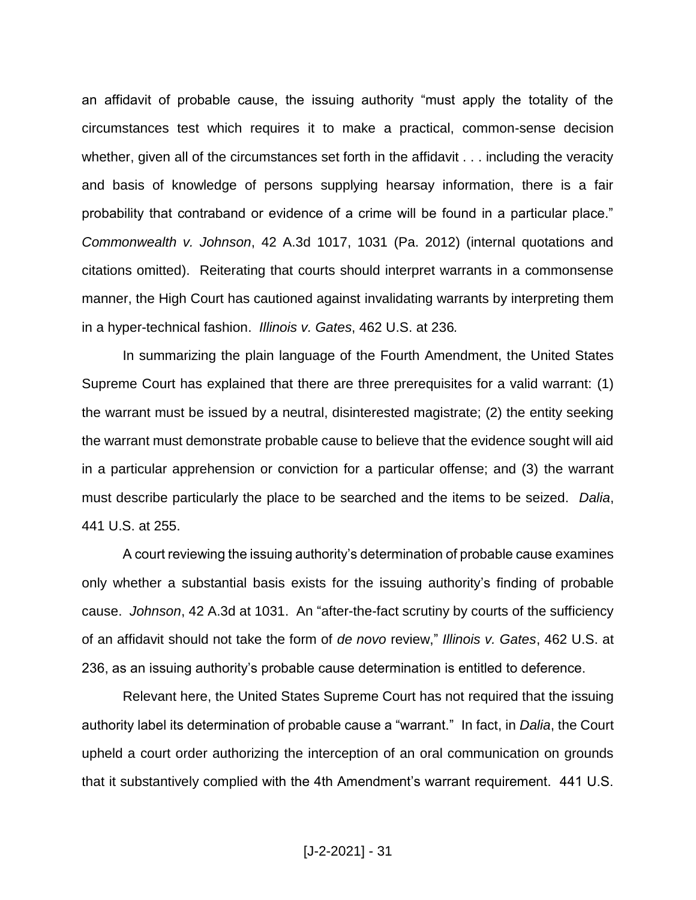an affidavit of probable cause, the issuing authority "must apply the totality of the circumstances test which requires it to make a practical, common-sense decision whether, given all of the circumstances set forth in the affidavit . . . including the veracity and basis of knowledge of persons supplying hearsay information, there is a fair probability that contraband or evidence of a crime will be found in a particular place." *Commonwealth v. Johnson*, 42 A.3d 1017, 1031 (Pa. 2012) (internal quotations and citations omitted). Reiterating that courts should interpret warrants in a commonsense manner, the High Court has cautioned against invalidating warrants by interpreting them in a hyper-technical fashion. *Illinois v. Gates*, 462 U.S. at 236*.*

In summarizing the plain language of the Fourth Amendment, the United States Supreme Court has explained that there are three prerequisites for a valid warrant: (1) the warrant must be issued by a neutral, disinterested magistrate; (2) the entity seeking the warrant must demonstrate probable cause to believe that the evidence sought will aid in a particular apprehension or conviction for a particular offense; and (3) the warrant must describe particularly the place to be searched and the items to be seized. *Dalia*, 441 U.S. at 255.

A court reviewing the issuing authority's determination of probable cause examines only whether a substantial basis exists for the issuing authority's finding of probable cause. *Johnson*, 42 A.3d at 1031. An "after-the-fact scrutiny by courts of the sufficiency of an affidavit should not take the form of *de novo* review," *Illinois v. Gates*, 462 U.S. at 236, as an issuing authority's probable cause determination is entitled to deference.

Relevant here, the United States Supreme Court has not required that the issuing authority label its determination of probable cause a "warrant." In fact, in *Dalia*, the Court upheld a court order authorizing the interception of an oral communication on grounds that it substantively complied with the 4th Amendment's warrant requirement. 441 U.S.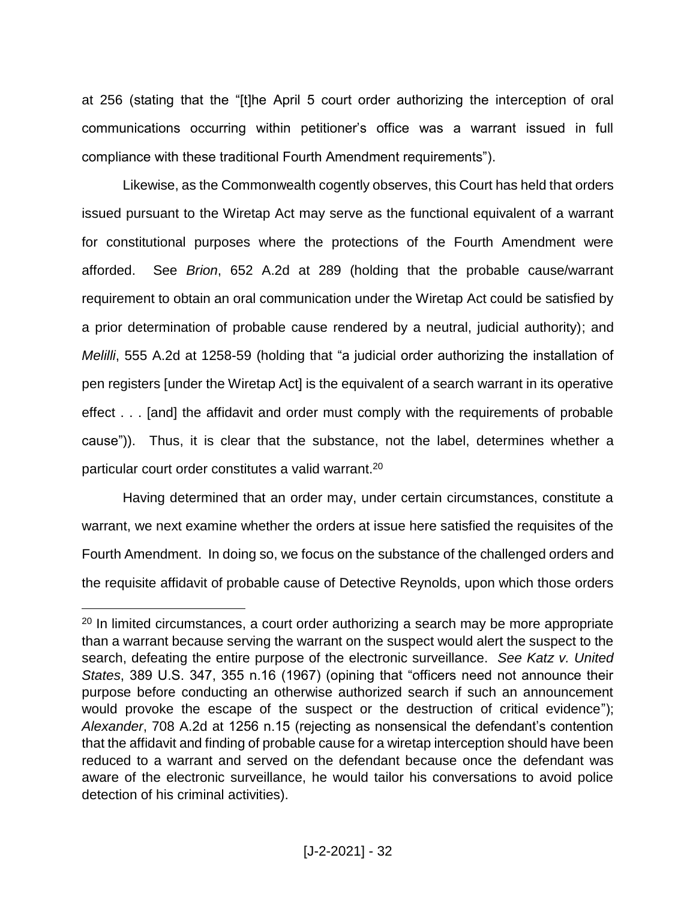at 256 (stating that the "[t]he April 5 court order authorizing the interception of oral communications occurring within petitioner's office was a warrant issued in full compliance with these traditional Fourth Amendment requirements").

Likewise, as the Commonwealth cogently observes, this Court has held that orders issued pursuant to the Wiretap Act may serve as the functional equivalent of a warrant for constitutional purposes where the protections of the Fourth Amendment were afforded. See *Brion*, 652 A.2d at 289 (holding that the probable cause/warrant requirement to obtain an oral communication under the Wiretap Act could be satisfied by a prior determination of probable cause rendered by a neutral, judicial authority); and *Melilli*, 555 A.2d at 1258-59 (holding that "a judicial order authorizing the installation of pen registers [under the Wiretap Act] is the equivalent of a search warrant in its operative effect . . . [and] the affidavit and order must comply with the requirements of probable cause")). Thus, it is clear that the substance, not the label, determines whether a particular court order constitutes a valid warrant.<sup>20</sup>

Having determined that an order may, under certain circumstances, constitute a warrant, we next examine whether the orders at issue here satisfied the requisites of the Fourth Amendment. In doing so, we focus on the substance of the challenged orders and the requisite affidavit of probable cause of Detective Reynolds, upon which those orders

<sup>&</sup>lt;sup>20</sup> In limited circumstances, a court order authorizing a search may be more appropriate than a warrant because serving the warrant on the suspect would alert the suspect to the search, defeating the entire purpose of the electronic surveillance. *See Katz v. United States*, 389 U.S. 347, 355 n.16 (1967) (opining that "officers need not announce their purpose before conducting an otherwise authorized search if such an announcement would provoke the escape of the suspect or the destruction of critical evidence"); *Alexander*, 708 A.2d at 1256 n.15 (rejecting as nonsensical the defendant's contention that the affidavit and finding of probable cause for a wiretap interception should have been reduced to a warrant and served on the defendant because once the defendant was aware of the electronic surveillance, he would tailor his conversations to avoid police detection of his criminal activities).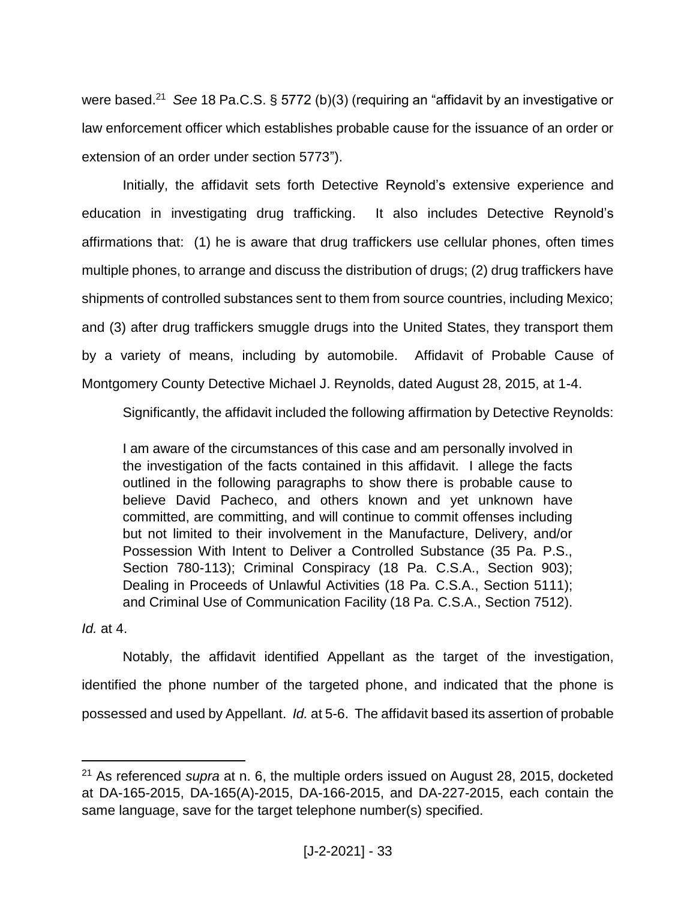were based. <sup>21</sup> *See* 18 Pa.C.S. § 5772 (b)(3) (requiring an "affidavit by an investigative or law enforcement officer which establishes probable cause for the issuance of an order or extension of an order under section 5773").

Initially, the affidavit sets forth Detective Reynold's extensive experience and education in investigating drug trafficking. It also includes Detective Reynold's affirmations that: (1) he is aware that drug traffickers use cellular phones, often times multiple phones, to arrange and discuss the distribution of drugs; (2) drug traffickers have shipments of controlled substances sent to them from source countries, including Mexico; and (3) after drug traffickers smuggle drugs into the United States, they transport them by a variety of means, including by automobile. Affidavit of Probable Cause of Montgomery County Detective Michael J. Reynolds, dated August 28, 2015, at 1-4.

Significantly, the affidavit included the following affirmation by Detective Reynolds:

I am aware of the circumstances of this case and am personally involved in the investigation of the facts contained in this affidavit. I allege the facts outlined in the following paragraphs to show there is probable cause to believe David Pacheco, and others known and yet unknown have committed, are committing, and will continue to commit offenses including but not limited to their involvement in the Manufacture, Delivery, and/or Possession With Intent to Deliver a Controlled Substance (35 Pa. P.S., Section 780-113); Criminal Conspiracy (18 Pa. C.S.A., Section 903); Dealing in Proceeds of Unlawful Activities (18 Pa. C.S.A., Section 5111); and Criminal Use of Communication Facility (18 Pa. C.S.A., Section 7512).

*Id.* at 4.

 $\overline{a}$ 

Notably, the affidavit identified Appellant as the target of the investigation, identified the phone number of the targeted phone, and indicated that the phone is possessed and used by Appellant. *Id.* at 5-6. The affidavit based its assertion of probable

<sup>21</sup> As referenced *supra* at n. 6, the multiple orders issued on August 28, 2015, docketed at DA-165-2015, DA-165(A)-2015, DA-166-2015, and DA-227-2015, each contain the same language, save for the target telephone number(s) specified.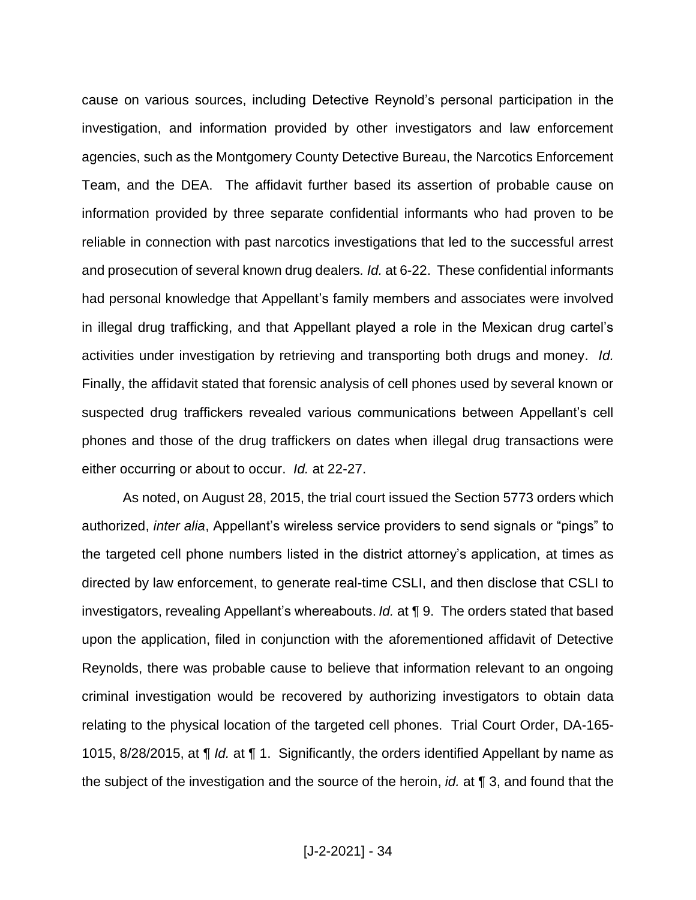cause on various sources, including Detective Reynold's personal participation in the investigation, and information provided by other investigators and law enforcement agencies, such as the Montgomery County Detective Bureau, the Narcotics Enforcement Team, and the DEA. The affidavit further based its assertion of probable cause on information provided by three separate confidential informants who had proven to be reliable in connection with past narcotics investigations that led to the successful arrest and prosecution of several known drug dealers*. Id.* at 6-22. These confidential informants had personal knowledge that Appellant's family members and associates were involved in illegal drug trafficking, and that Appellant played a role in the Mexican drug cartel's activities under investigation by retrieving and transporting both drugs and money. *Id.*  Finally, the affidavit stated that forensic analysis of cell phones used by several known or suspected drug traffickers revealed various communications between Appellant's cell phones and those of the drug traffickers on dates when illegal drug transactions were either occurring or about to occur. *Id.* at 22-27.

As noted, on August 28, 2015, the trial court issued the Section 5773 orders which authorized, *inter alia*, Appellant's wireless service providers to send signals or "pings" to the targeted cell phone numbers listed in the district attorney's application, at times as directed by law enforcement, to generate real-time CSLI, and then disclose that CSLI to investigators, revealing Appellant's whereabouts. *Id.* at ¶ 9. The orders stated that based upon the application, filed in conjunction with the aforementioned affidavit of Detective Reynolds, there was probable cause to believe that information relevant to an ongoing criminal investigation would be recovered by authorizing investigators to obtain data relating to the physical location of the targeted cell phones. Trial Court Order, DA-165- 1015, 8/28/2015, at ¶ *Id.* at ¶ 1. Significantly, the orders identified Appellant by name as the subject of the investigation and the source of the heroin, *id.* at ¶ 3, and found that the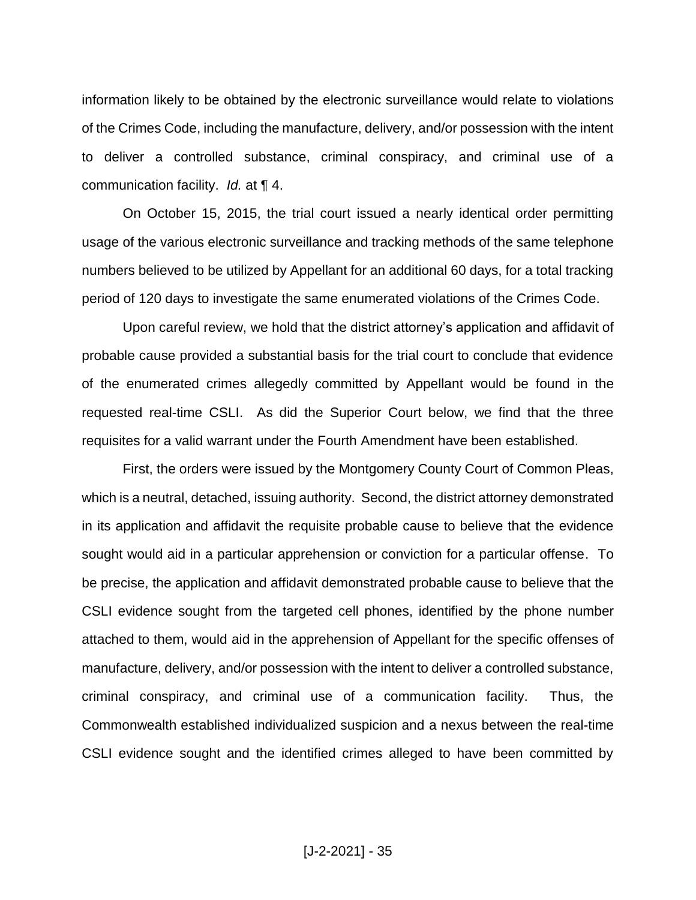information likely to be obtained by the electronic surveillance would relate to violations of the Crimes Code, including the manufacture, delivery, and/or possession with the intent to deliver a controlled substance, criminal conspiracy, and criminal use of a communication facility. *Id.* at ¶ 4.

On October 15, 2015, the trial court issued a nearly identical order permitting usage of the various electronic surveillance and tracking methods of the same telephone numbers believed to be utilized by Appellant for an additional 60 days, for a total tracking period of 120 days to investigate the same enumerated violations of the Crimes Code.

Upon careful review, we hold that the district attorney's application and affidavit of probable cause provided a substantial basis for the trial court to conclude that evidence of the enumerated crimes allegedly committed by Appellant would be found in the requested real-time CSLI. As did the Superior Court below, we find that the three requisites for a valid warrant under the Fourth Amendment have been established.

First, the orders were issued by the Montgomery County Court of Common Pleas, which is a neutral, detached, issuing authority. Second, the district attorney demonstrated in its application and affidavit the requisite probable cause to believe that the evidence sought would aid in a particular apprehension or conviction for a particular offense. To be precise, the application and affidavit demonstrated probable cause to believe that the CSLI evidence sought from the targeted cell phones, identified by the phone number attached to them, would aid in the apprehension of Appellant for the specific offenses of manufacture, delivery, and/or possession with the intent to deliver a controlled substance, criminal conspiracy, and criminal use of a communication facility. Thus, the Commonwealth established individualized suspicion and a nexus between the real-time CSLI evidence sought and the identified crimes alleged to have been committed by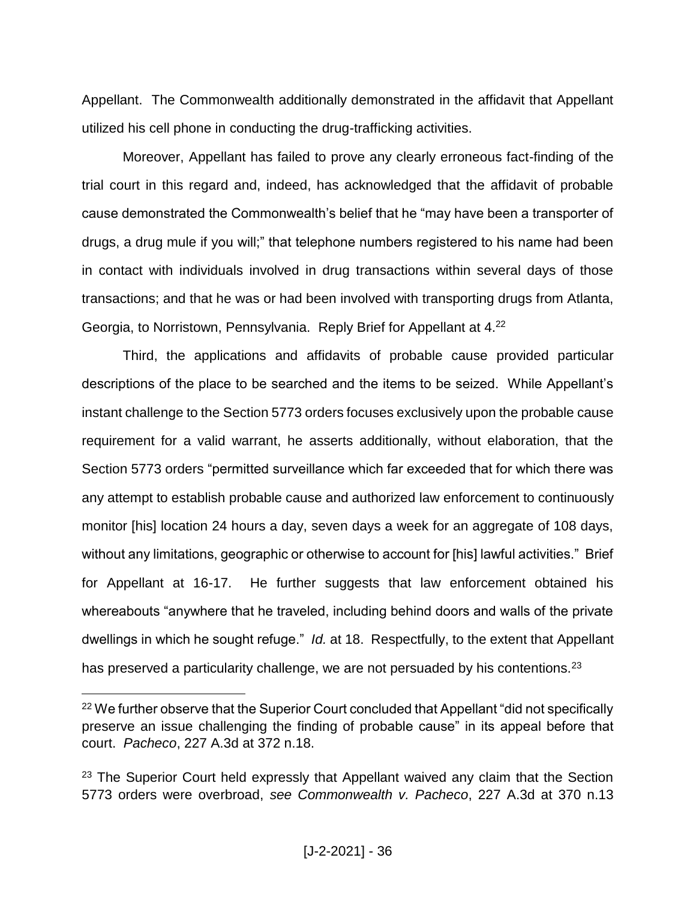Appellant. The Commonwealth additionally demonstrated in the affidavit that Appellant utilized his cell phone in conducting the drug-trafficking activities.

Moreover, Appellant has failed to prove any clearly erroneous fact-finding of the trial court in this regard and, indeed, has acknowledged that the affidavit of probable cause demonstrated the Commonwealth's belief that he "may have been a transporter of drugs, a drug mule if you will;" that telephone numbers registered to his name had been in contact with individuals involved in drug transactions within several days of those transactions; and that he was or had been involved with transporting drugs from Atlanta, Georgia, to Norristown, Pennsylvania. Reply Brief for Appellant at 4.<sup>22</sup>

Third, the applications and affidavits of probable cause provided particular descriptions of the place to be searched and the items to be seized. While Appellant's instant challenge to the Section 5773 orders focuses exclusively upon the probable cause requirement for a valid warrant, he asserts additionally, without elaboration, that the Section 5773 orders "permitted surveillance which far exceeded that for which there was any attempt to establish probable cause and authorized law enforcement to continuously monitor [his] location 24 hours a day, seven days a week for an aggregate of 108 days, without any limitations, geographic or otherwise to account for [his] lawful activities." Brief for Appellant at 16-17. He further suggests that law enforcement obtained his whereabouts "anywhere that he traveled, including behind doors and walls of the private dwellings in which he sought refuge." *Id.* at 18. Respectfully, to the extent that Appellant has preserved a particularity challenge, we are not persuaded by his contentions.<sup>23</sup>

<sup>&</sup>lt;sup>22</sup> We further observe that the Superior Court concluded that Appellant "did not specifically preserve an issue challenging the finding of probable cause" in its appeal before that court. *Pacheco*, 227 A.3d at 372 n.18.

<sup>&</sup>lt;sup>23</sup> The Superior Court held expressly that Appellant waived any claim that the Section 5773 orders were overbroad, *see Commonwealth v. Pacheco*, 227 A.3d at 370 n.13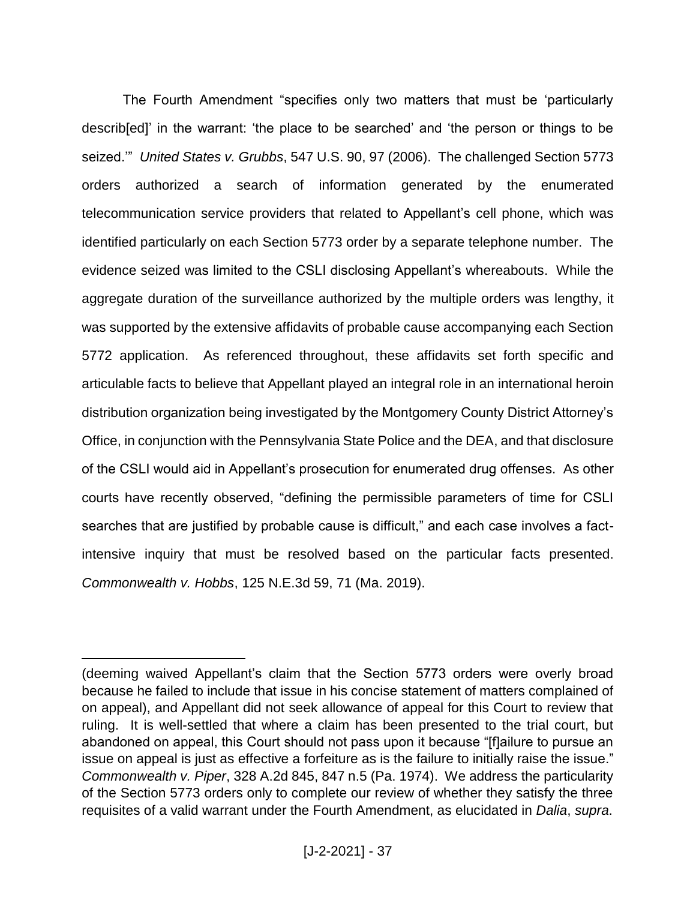The Fourth Amendment "specifies only two matters that must be 'particularly describ[ed]' in the warrant: 'the place to be searched' and 'the person or things to be seized.'" *United States v. Grubbs*, 547 U.S. 90, 97 (2006). The challenged Section 5773 orders authorized a search of information generated by the enumerated telecommunication service providers that related to Appellant's cell phone, which was identified particularly on each Section 5773 order by a separate telephone number. The evidence seized was limited to the CSLI disclosing Appellant's whereabouts. While the aggregate duration of the surveillance authorized by the multiple orders was lengthy, it was supported by the extensive affidavits of probable cause accompanying each Section 5772 application. As referenced throughout, these affidavits set forth specific and articulable facts to believe that Appellant played an integral role in an international heroin distribution organization being investigated by the Montgomery County District Attorney's Office, in conjunction with the Pennsylvania State Police and the DEA, and that disclosure of the CSLI would aid in Appellant's prosecution for enumerated drug offenses. As other courts have recently observed, "defining the permissible parameters of time for CSLI searches that are justified by probable cause is difficult," and each case involves a factintensive inquiry that must be resolved based on the particular facts presented. *Commonwealth v. Hobbs*, 125 N.E.3d 59, 71 (Ma. 2019).

<sup>(</sup>deeming waived Appellant's claim that the Section 5773 orders were overly broad because he failed to include that issue in his concise statement of matters complained of on appeal), and Appellant did not seek allowance of appeal for this Court to review that ruling. It is well-settled that where a claim has been presented to the trial court, but abandoned on appeal, this Court should not pass upon it because "[f]ailure to pursue an issue on appeal is just as effective a forfeiture as is the failure to initially raise the issue." *Commonwealth v. Piper*, 328 A.2d 845, 847 n.5 (Pa. 1974). We address the particularity of the Section 5773 orders only to complete our review of whether they satisfy the three requisites of a valid warrant under the Fourth Amendment, as elucidated in *Dalia*, *supra*.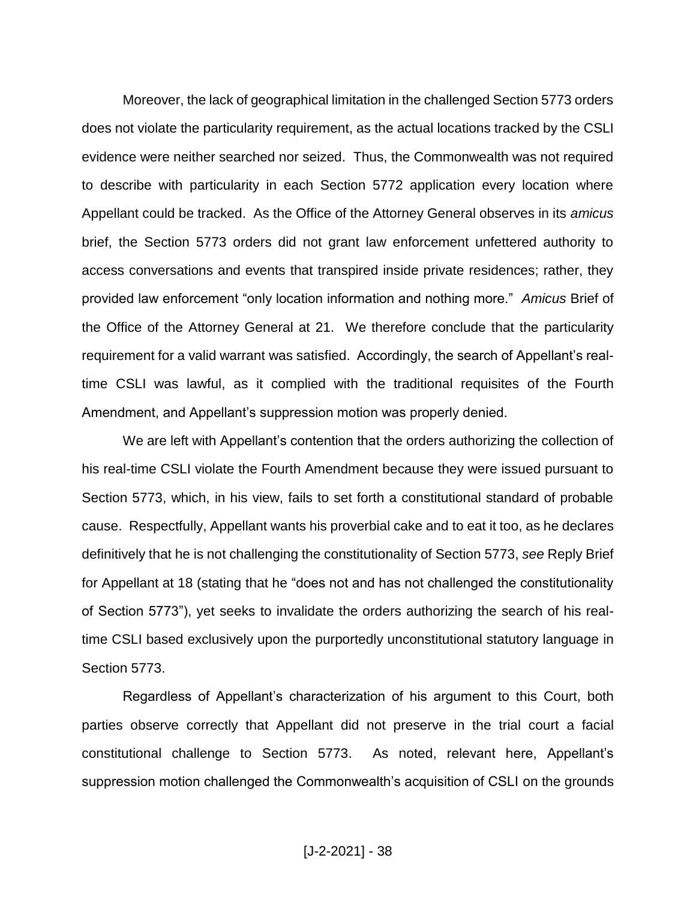Moreover, the lack of geographical limitation in the challenged Section 5773 orders does not violate the particularity requirement, as the actual locations tracked by the CSLI evidence were neither searched nor seized. Thus, the Commonwealth was not required to describe with particularity in each Section 5772 application every location where Appellant could be tracked. As the Office of the Attorney General observes in its *amicus* brief, the Section 5773 orders did not grant law enforcement unfettered authority to access conversations and events that transpired inside private residences; rather, they provided law enforcement "only location information and nothing more." *Amicus* Brief of the Office of the Attorney General at 21. We therefore conclude that the particularity requirement for a valid warrant was satisfied. Accordingly, the search of Appellant's realtime CSLI was lawful, as it complied with the traditional requisites of the Fourth Amendment, and Appellant's suppression motion was properly denied.

We are left with Appellant's contention that the orders authorizing the collection of his real-time CSLI violate the Fourth Amendment because they were issued pursuant to Section 5773, which, in his view, fails to set forth a constitutional standard of probable cause. Respectfully, Appellant wants his proverbial cake and to eat it too, as he declares definitively that he is not challenging the constitutionality of Section 5773, *see* Reply Brief for Appellant at 18 (stating that he "does not and has not challenged the constitutionality of Section 5773"), yet seeks to invalidate the orders authorizing the search of his realtime CSLI based exclusively upon the purportedly unconstitutional statutory language in Section 5773.

Regardless of Appellant's characterization of his argument to this Court, both parties observe correctly that Appellant did not preserve in the trial court a facial constitutional challenge to Section 5773. As noted, relevant here, Appellant's suppression motion challenged the Commonwealth's acquisition of CSLI on the grounds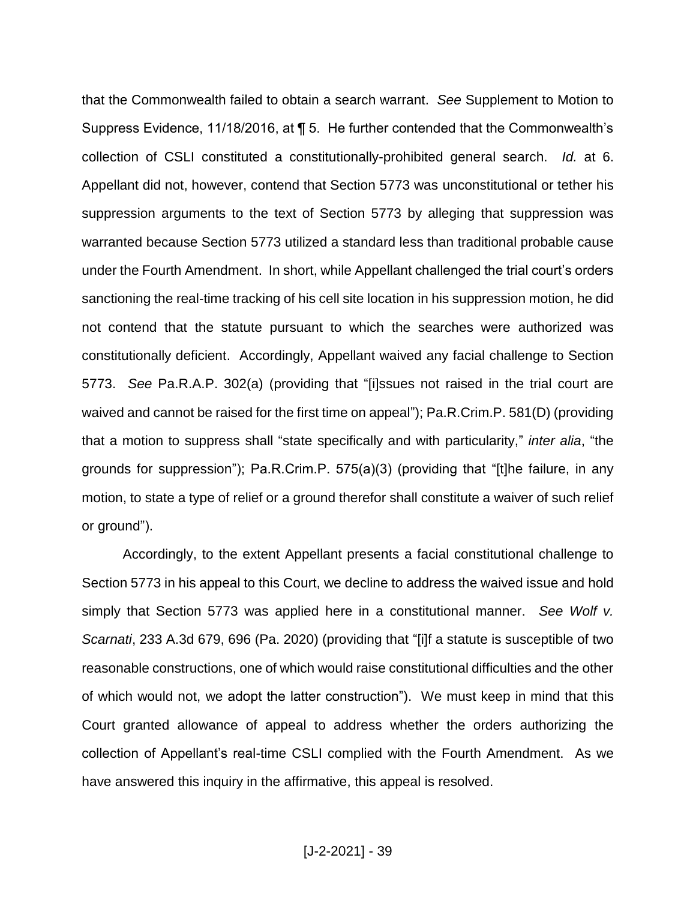that the Commonwealth failed to obtain a search warrant. *See* Supplement to Motion to Suppress Evidence, 11/18/2016, at ¶ 5. He further contended that the Commonwealth's collection of CSLI constituted a constitutionally-prohibited general search. *Id.* at 6. Appellant did not, however, contend that Section 5773 was unconstitutional or tether his suppression arguments to the text of Section 5773 by alleging that suppression was warranted because Section 5773 utilized a standard less than traditional probable cause under the Fourth Amendment. In short, while Appellant challenged the trial court's orders sanctioning the real-time tracking of his cell site location in his suppression motion, he did not contend that the statute pursuant to which the searches were authorized was constitutionally deficient. Accordingly, Appellant waived any facial challenge to Section 5773. *See* Pa.R.A.P. 302(a) (providing that "[i]ssues not raised in the trial court are waived and cannot be raised for the first time on appeal"); Pa.R.Crim.P. 581(D) (providing that a motion to suppress shall "state specifically and with particularity," *inter alia*, "the grounds for suppression"); Pa.R.Crim.P. 575(a)(3) (providing that "[t]he failure, in any motion, to state a type of relief or a ground therefor shall constitute a waiver of such relief or ground").

Accordingly, to the extent Appellant presents a facial constitutional challenge to Section 5773 in his appeal to this Court, we decline to address the waived issue and hold simply that Section 5773 was applied here in a constitutional manner. *See Wolf v. Scarnati*, 233 A.3d 679, 696 (Pa. 2020) (providing that "[i]f a statute is susceptible of two reasonable constructions, one of which would raise constitutional difficulties and the other of which would not, we adopt the latter construction"). We must keep in mind that this Court granted allowance of appeal to address whether the orders authorizing the collection of Appellant's real-time CSLI complied with the Fourth Amendment. As we have answered this inquiry in the affirmative, this appeal is resolved.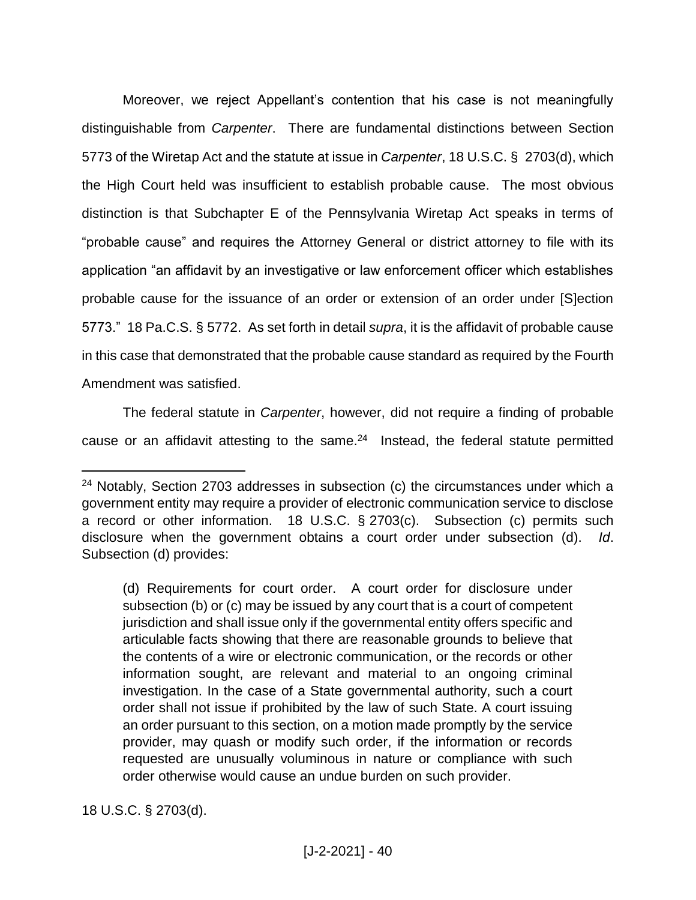Moreover, we reject Appellant's contention that his case is not meaningfully distinguishable from *Carpenter*. There are fundamental distinctions between Section 5773 of the Wiretap Act and the statute at issue in *Carpenter*, 18 U.S.C. § 2703(d), which the High Court held was insufficient to establish probable cause. The most obvious distinction is that Subchapter E of the Pennsylvania Wiretap Act speaks in terms of "probable cause" and requires the Attorney General or district attorney to file with its application "an affidavit by an investigative or law enforcement officer which establishes probable cause for the issuance of an order or extension of an order under [S]ection 5773." 18 Pa.C.S. § 5772. As set forth in detail *supra*, it is the affidavit of probable cause in this case that demonstrated that the probable cause standard as required by the Fourth Amendment was satisfied.

The federal statute in *Carpenter*, however, did not require a finding of probable cause or an affidavit attesting to the same. $24$  Instead, the federal statute permitted

18 U.S.C. § 2703(d).

<sup>&</sup>lt;sup>24</sup> Notably, Section 2703 addresses in subsection (c) the circumstances under which a government entity may require a provider of electronic communication service to disclose a record or other information. 18 U.S.C. § 2703(c). Subsection (c) permits such disclosure when the government obtains a court order under subsection (d). *Id*. Subsection (d) provides:

<sup>(</sup>d) Requirements for court order. A court order for disclosure under subsection (b) or (c) may be issued by any court that is a court of competent jurisdiction and shall issue only if the governmental entity offers specific and articulable facts showing that there are reasonable grounds to believe that the contents of a wire or electronic communication, or the records or other information sought, are relevant and material to an ongoing criminal investigation. In the case of a State governmental authority, such a court order shall not issue if prohibited by the law of such State. A court issuing an order pursuant to this section, on a motion made promptly by the service provider, may quash or modify such order, if the information or records requested are unusually voluminous in nature or compliance with such order otherwise would cause an undue burden on such provider.